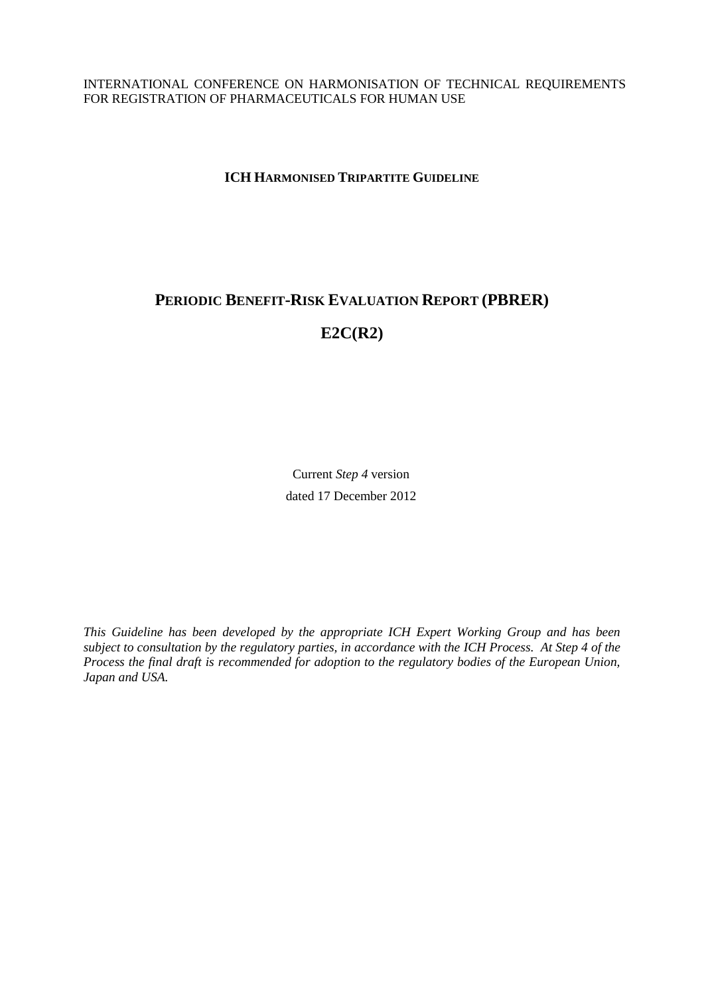INTERNATIONAL CONFERENCE ON HARMONISATION OF TECHNICAL REQUIREMENTS FOR REGISTRATION OF PHARMACEUTICALS FOR HUMAN USE

**ICH HARMONISED TRIPARTITE GUIDELINE**

# **PERIODIC BENEFIT-RISK EVALUATION REPORT (PBRER) E2C(R2)**

Current *Step 4* version dated 17 December 2012

*This Guideline has been developed by the appropriate ICH Expert Working Group and has been subject to consultation by the regulatory parties, in accordance with the ICH Process. At Step 4 of the Process the final draft is recommended for adoption to the regulatory bodies of the European Union, Japan and USA.*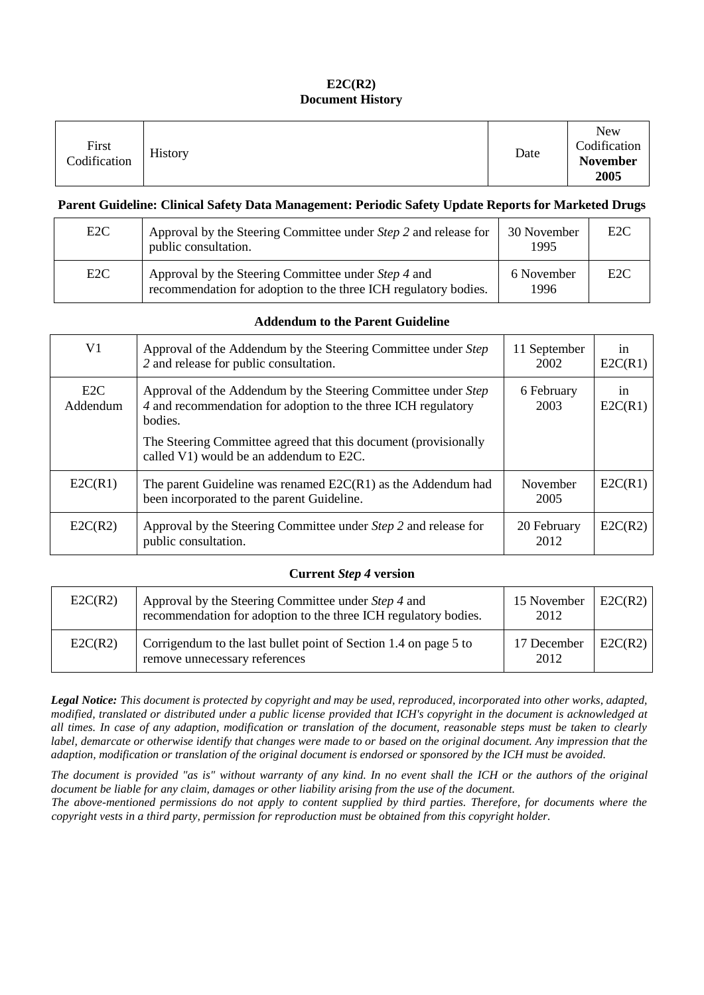# **E2C(R2) Document History**

| First<br><sup>o</sup> dification | History | Date | <b>New</b><br>Codification<br><b>November</b><br>2005 |
|----------------------------------|---------|------|-------------------------------------------------------|
|----------------------------------|---------|------|-------------------------------------------------------|

#### **Parent Guideline: Clinical Safety Data Management: Periodic Safety Update Reports for Marketed Drugs**

| E <sub>2</sub> C | Approval by the Steering Committee under Step 2 and release for<br>public consultation.                                | 30 November<br>1995 | E2C |
|------------------|------------------------------------------------------------------------------------------------------------------------|---------------------|-----|
| E <sub>2</sub> C | Approval by the Steering Committee under Step 4 and<br>recommendation for adoption to the three ICH regulatory bodies. | 6 November<br>1996  | E2C |

#### **Addendum to the Parent Guideline**

| V1              | Approval of the Addendum by the Steering Committee under Step<br>2 and release for public consultation.                                   | 11 September<br>2002    | 1n<br>E2C(R1) |
|-----------------|-------------------------------------------------------------------------------------------------------------------------------------------|-------------------------|---------------|
| E2C<br>Addendum | Approval of the Addendum by the Steering Committee under Step<br>4 and recommendation for adoption to the three ICH regulatory<br>bodies. | 6 February<br>2003      | 1n<br>E2C(R1) |
|                 | The Steering Committee agreed that this document (provisionally<br>called V1) would be an addendum to E2C.                                |                         |               |
| E2C(R1)         | The parent Guideline was renamed $E2C(R1)$ as the Addendum had<br>been incorporated to the parent Guideline.                              | <b>November</b><br>2005 | E2C(R1)       |
| E2C(R2)         | Approval by the Steering Committee under Step 2 and release for<br>public consultation.                                                   | 20 February<br>2012     | E2C(R2)       |

#### **Current** *Step 4* **version**

| E2C(R2) | Approval by the Steering Committee under Step 4 and<br>recommendation for adoption to the three ICH regulatory bodies. | 15 November<br>2012 | E2C(R2) |
|---------|------------------------------------------------------------------------------------------------------------------------|---------------------|---------|
| E2C(R2) | Corrigendum to the last bullet point of Section 1.4 on page 5 to<br>remove unnecessary references                      | 17 December<br>2012 | E2C(R2) |

*Legal Notice: This document is protected by copyright and may be used, reproduced, incorporated into other works, adapted, modified, translated or distributed under a public license provided that ICH's copyright in the document is acknowledged at all times. In case of any adaption, modification or translation of the document, reasonable steps must be taken to clearly*  label, demarcate or otherwise identify that changes were made to or based on the original document. Any impression that the *adaption, modification or translation of the original document is endorsed or sponsored by the ICH must be avoided.*

*The document is provided "as is" without warranty of any kind. In no event shall the ICH or the authors of the original document be liable for any claim, damages or other liability arising from the use of the document. The above-mentioned permissions do not apply to content supplied by third parties. Therefore, for documents where the* 

*copyright vests in a third party, permission for reproduction must be obtained from this copyright holder.*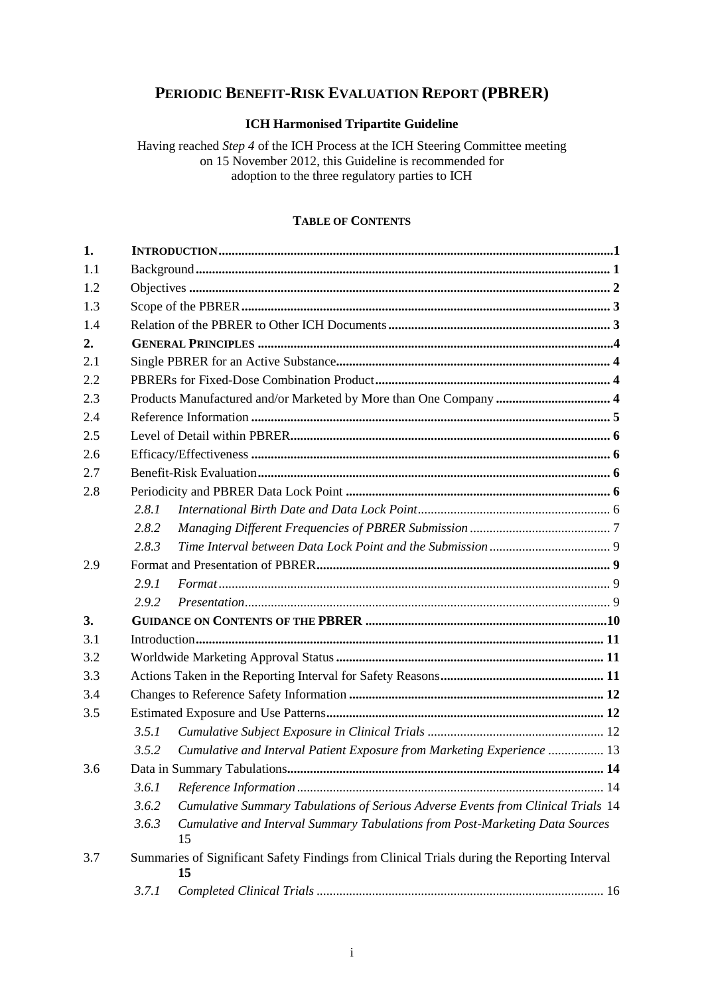# **PERIODIC BENEFIT-RISK EVALUATION REPORT (PBRER)**

#### **ICH Harmonised Tripartite Guideline**

Having reached *Step 4* of the ICH Process at the ICH Steering Committee meeting on 15 November 2012, this Guideline is recommended for adoption to the three regulatory parties to ICH

# **TABLE OF CONTENTS**

| 1.  |       |                                                                                                   |  |  |
|-----|-------|---------------------------------------------------------------------------------------------------|--|--|
| 1.1 |       |                                                                                                   |  |  |
| 1.2 |       |                                                                                                   |  |  |
| 1.3 |       |                                                                                                   |  |  |
| 1.4 |       |                                                                                                   |  |  |
| 2.  |       |                                                                                                   |  |  |
| 2.1 |       |                                                                                                   |  |  |
| 2.2 |       |                                                                                                   |  |  |
| 2.3 |       |                                                                                                   |  |  |
| 2.4 |       |                                                                                                   |  |  |
| 2.5 |       |                                                                                                   |  |  |
| 2.6 |       |                                                                                                   |  |  |
| 2.7 |       |                                                                                                   |  |  |
| 2.8 |       |                                                                                                   |  |  |
|     | 2.8.1 |                                                                                                   |  |  |
|     | 2.8.2 |                                                                                                   |  |  |
|     | 2.8.3 |                                                                                                   |  |  |
| 2.9 |       |                                                                                                   |  |  |
|     | 2.9.1 |                                                                                                   |  |  |
|     | 2.9.2 |                                                                                                   |  |  |
| 3.  |       |                                                                                                   |  |  |
| 3.1 |       |                                                                                                   |  |  |
| 3.2 |       |                                                                                                   |  |  |
| 3.3 |       |                                                                                                   |  |  |
| 3.4 |       |                                                                                                   |  |  |
| 3.5 |       |                                                                                                   |  |  |
|     | 3.5.1 |                                                                                                   |  |  |
|     | 3.5.2 | Cumulative and Interval Patient Exposure from Marketing Experience  13                            |  |  |
| 3.6 |       |                                                                                                   |  |  |
|     | 3.6.1 |                                                                                                   |  |  |
|     | 3.6.2 | Cumulative Summary Tabulations of Serious Adverse Events from Clinical Trials 14                  |  |  |
|     | 3.6.3 | Cumulative and Interval Summary Tabulations from Post-Marketing Data Sources<br>15                |  |  |
| 3.7 |       | Summaries of Significant Safety Findings from Clinical Trials during the Reporting Interval<br>15 |  |  |
|     | 3.7.1 |                                                                                                   |  |  |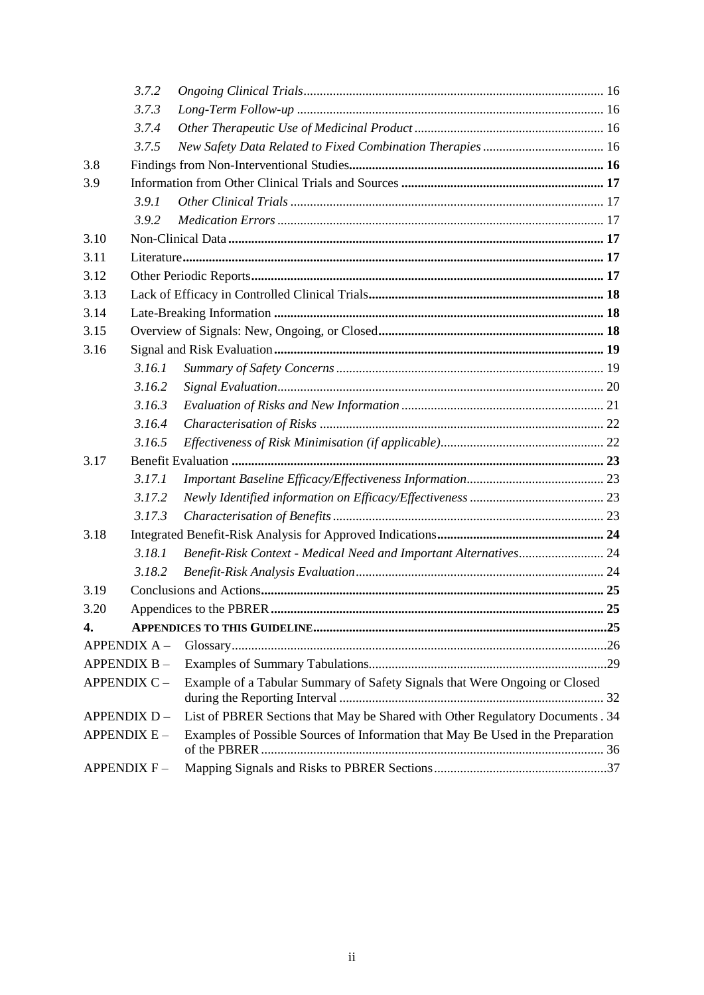|                    | 3.7.2               |                                                                                 |    |
|--------------------|---------------------|---------------------------------------------------------------------------------|----|
|                    | 3.7.3               |                                                                                 |    |
|                    | 3.7.4               |                                                                                 |    |
|                    | 3.7.5               |                                                                                 |    |
| 3.8                |                     |                                                                                 |    |
| 3.9                |                     |                                                                                 |    |
|                    | 3.9.1               |                                                                                 |    |
|                    | 3.9.2               |                                                                                 |    |
| 3.10               |                     |                                                                                 |    |
| 3.11               |                     |                                                                                 |    |
| 3.12               |                     |                                                                                 |    |
| 3.13               |                     |                                                                                 |    |
| 3.14               |                     |                                                                                 |    |
| 3.15               |                     |                                                                                 |    |
| 3.16               |                     |                                                                                 |    |
|                    | 3.16.1              |                                                                                 |    |
|                    | 3.16.2              |                                                                                 |    |
|                    | 3.16.3              |                                                                                 |    |
|                    | 3.16.4              |                                                                                 |    |
|                    | 3.16.5              |                                                                                 |    |
| 3.17               |                     |                                                                                 |    |
|                    | 3.17.1              |                                                                                 |    |
|                    | 3.17.2              |                                                                                 |    |
|                    | 3.17.3              |                                                                                 |    |
| 3.18               |                     |                                                                                 |    |
|                    | 3.18.1              | Benefit-Risk Context - Medical Need and Important Alternatives 24               |    |
|                    | 3.18.2              |                                                                                 |    |
| 3.19               |                     |                                                                                 |    |
| 3.20               |                     |                                                                                 | 25 |
| 4.                 |                     |                                                                                 |    |
|                    | <b>APPENDIX A -</b> |                                                                                 |    |
| APPENDIX B-        |                     |                                                                                 |    |
| APPENDIX C-        |                     | Example of a Tabular Summary of Safety Signals that Were Ongoing or Closed      |    |
|                    | APPENDIX D-         | List of PBRER Sections that May be Shared with Other Regulatory Documents . 34  |    |
| <b>APPENDIX E-</b> |                     | Examples of Possible Sources of Information that May Be Used in the Preparation |    |
| <b>APPENDIX F-</b> |                     |                                                                                 |    |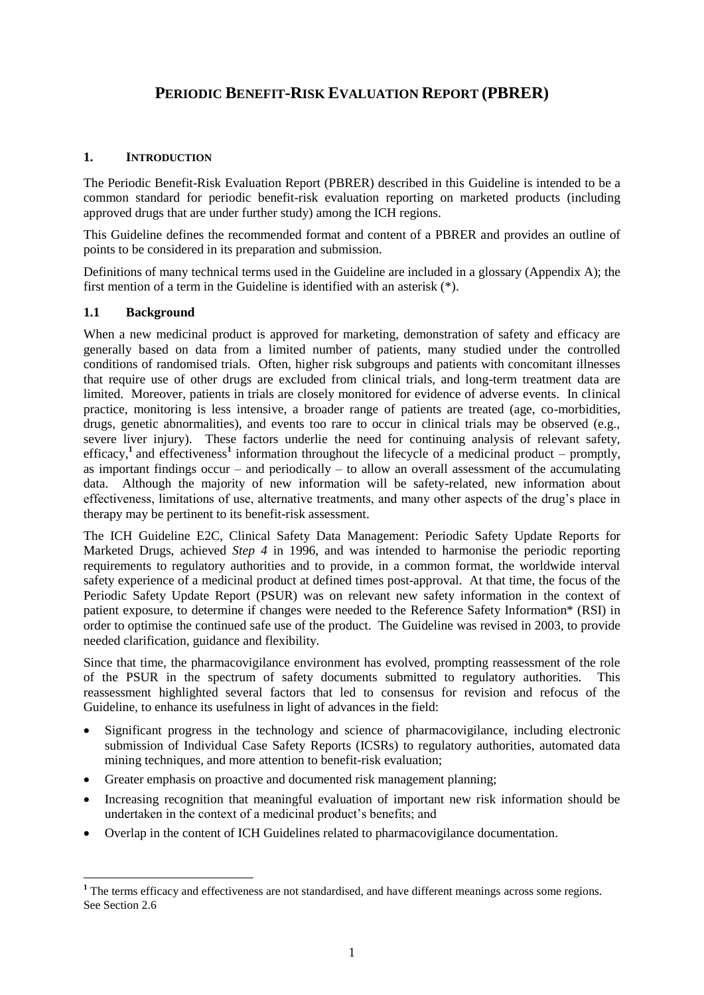# **PERIODIC BENEFIT-RISK EVALUATION REPORT (PBRER)**

#### <span id="page-4-0"></span>**1. INTRODUCTION**

The Periodic Benefit-Risk Evaluation Report (PBRER) described in this Guideline is intended to be a common standard for periodic benefit-risk evaluation reporting on marketed products (including approved drugs that are under further study) among the ICH regions.

This Guideline defines the recommended format and content of a PBRER and provides an outline of points to be considered in its preparation and submission.

Definitions of many technical terms used in the Guideline are included in a glossary (Appendix A); the first mention of a term in the Guideline is identified with an asterisk (\*).

#### <span id="page-4-1"></span>**1.1 Background**

 $\overline{a}$ 

When a new medicinal product is approved for marketing, demonstration of safety and efficacy are generally based on data from a limited number of patients, many studied under the controlled conditions of randomised trials. Often, higher risk subgroups and patients with concomitant illnesses that require use of other drugs are excluded from clinical trials, and long-term treatment data are limited. Moreover, patients in trials are closely monitored for evidence of adverse events. In clinical practice, monitoring is less intensive, a broader range of patients are treated (age, co-morbidities, drugs, genetic abnormalities), and events too rare to occur in clinical trials may be observed (e.g., severe liver injury). These factors underlie the need for continuing analysis of relevant safety, efficacy,<sup>1</sup> and effectiveness<sup>1</sup> information throughout the lifecycle of a medicinal product – promptly, as important findings occur – and periodically – to allow an overall assessment of the accumulating data. Although the majority of new information will be safety-related, new information about effectiveness, limitations of use, alternative treatments, and many other aspects of the drug's place in therapy may be pertinent to its benefit-risk assessment.

The ICH Guideline E2C, Clinical Safety Data Management: Periodic Safety Update Reports for Marketed Drugs, achieved *Step 4* in 1996, and was intended to harmonise the periodic reporting requirements to regulatory authorities and to provide, in a common format, the worldwide interval safety experience of a medicinal product at defined times post-approval. At that time, the focus of the Periodic Safety Update Report (PSUR) was on relevant new safety information in the context of patient exposure, to determine if changes were needed to the Reference Safety Information\* (RSI) in order to optimise the continued safe use of the product. The Guideline was revised in 2003, to provide needed clarification, guidance and flexibility.

Since that time, the pharmacovigilance environment has evolved, prompting reassessment of the role of the PSUR in the spectrum of safety documents submitted to regulatory authorities. This reassessment highlighted several factors that led to consensus for revision and refocus of the Guideline, to enhance its usefulness in light of advances in the field:

- Significant progress in the technology and science of pharmacovigilance, including electronic submission of Individual Case Safety Reports (ICSRs) to regulatory authorities, automated data mining techniques, and more attention to benefit-risk evaluation;
- Greater emphasis on proactive and documented risk management planning;
- Increasing recognition that meaningful evaluation of important new risk information should be undertaken in the context of a medicinal product's benefits; and
- Overlap in the content of ICH Guidelines related to pharmacovigilance documentation.

<sup>&</sup>lt;sup>1</sup> The terms efficacy and effectiveness are not standardised, and have different meanings across some regions. See Section 2.6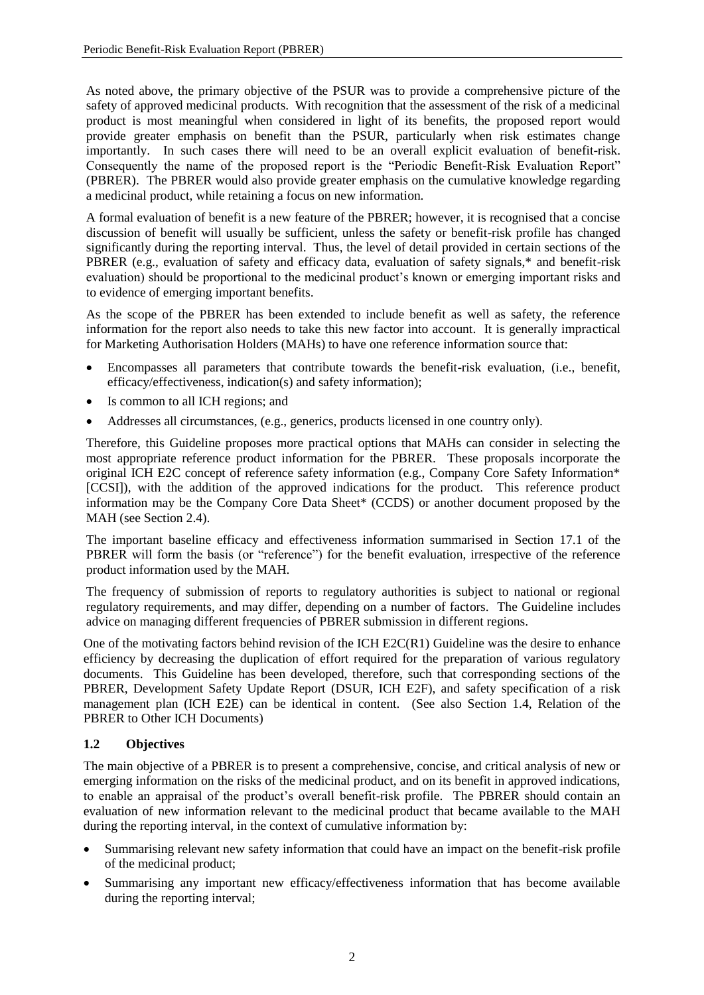As noted above, the primary objective of the PSUR was to provide a comprehensive picture of the safety of approved medicinal products. With recognition that the assessment of the risk of a medicinal product is most meaningful when considered in light of its benefits, the proposed report would provide greater emphasis on benefit than the PSUR, particularly when risk estimates change importantly. In such cases there will need to be an overall explicit evaluation of benefit-risk. Consequently the name of the proposed report is the "Periodic Benefit-Risk Evaluation Report" (PBRER). The PBRER would also provide greater emphasis on the cumulative knowledge regarding a medicinal product, while retaining a focus on new information.

A formal evaluation of benefit is a new feature of the PBRER; however, it is recognised that a concise discussion of benefit will usually be sufficient, unless the safety or benefit-risk profile has changed significantly during the reporting interval. Thus, the level of detail provided in certain sections of the PBRER (e.g., evaluation of safety and efficacy data, evaluation of safety signals,\* and benefit-risk evaluation) should be proportional to the medicinal product's known or emerging important risks and to evidence of emerging important benefits.

As the scope of the PBRER has been extended to include benefit as well as safety, the reference information for the report also needs to take this new factor into account. It is generally impractical for Marketing Authorisation Holders (MAHs) to have one reference information source that:

- Encompasses all parameters that contribute towards the benefit-risk evaluation, (i.e., benefit, efficacy/effectiveness, indication(s) and safety information);
- Is common to all ICH regions; and
- Addresses all circumstances, (e.g., generics, products licensed in one country only).

Therefore, this Guideline proposes more practical options that MAHs can consider in selecting the most appropriate reference product information for the PBRER. These proposals incorporate the original ICH E2C concept of reference safety information (e.g., Company Core Safety Information\* [CCSI]), with the addition of the approved indications for the product. This reference product information may be the Company Core Data Sheet\* (CCDS) or another document proposed by the MAH (see Section 2.4).

The important baseline efficacy and effectiveness information summarised in Section 17.1 of the PBRER will form the basis (or "reference") for the benefit evaluation, irrespective of the reference product information used by the MAH.

The frequency of submission of reports to regulatory authorities is subject to national or regional regulatory requirements, and may differ, depending on a number of factors. The Guideline includes advice on managing different frequencies of PBRER submission in different regions.

One of the motivating factors behind revision of the ICH E2C(R1) Guideline was the desire to enhance efficiency by decreasing the duplication of effort required for the preparation of various regulatory documents. This Guideline has been developed, therefore, such that corresponding sections of the PBRER, Development Safety Update Report (DSUR, ICH E2F), and safety specification of a risk management plan (ICH E2E) can be identical in content. (See also Section 1.4, Relation of the PBRER to Other ICH Documents)

# <span id="page-5-0"></span>**1.2 Objectives**

The main objective of a PBRER is to present a comprehensive, concise, and critical analysis of new or emerging information on the risks of the medicinal product, and on its benefit in approved indications, to enable an appraisal of the product's overall benefit-risk profile. The PBRER should contain an evaluation of new information relevant to the medicinal product that became available to the MAH during the reporting interval, in the context of cumulative information by:

- Summarising relevant new safety information that could have an impact on the benefit-risk profile of the medicinal product;
- Summarising any important new efficacy/effectiveness information that has become available during the reporting interval;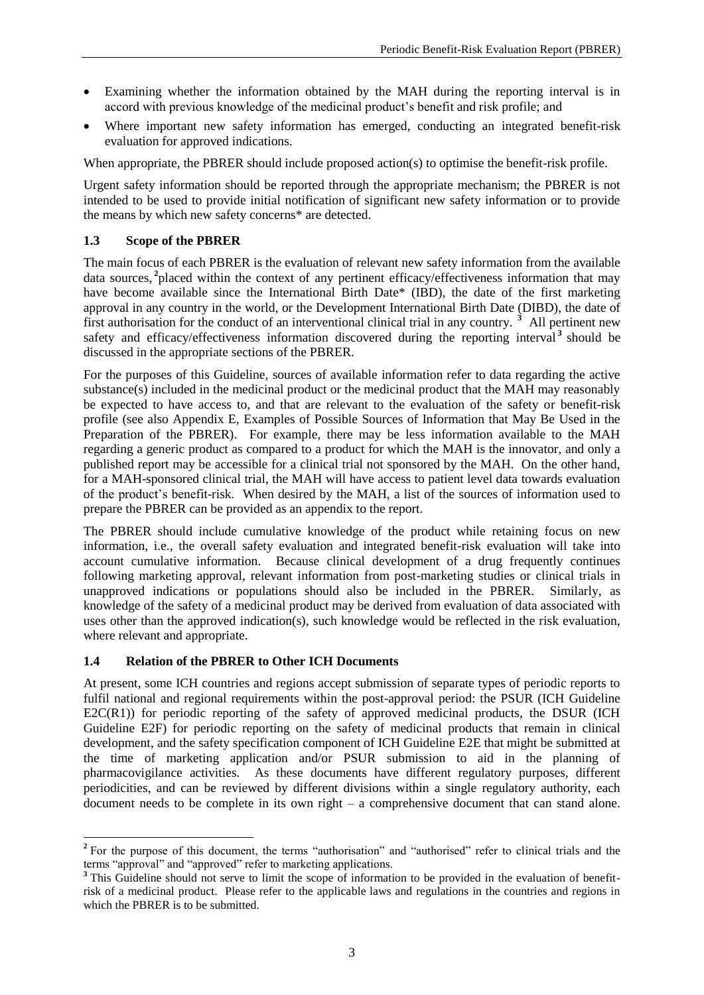- Examining whether the information obtained by the MAH during the reporting interval is in accord with previous knowledge of the medicinal product's benefit and risk profile; and
- Where important new safety information has emerged, conducting an integrated benefit-risk evaluation for approved indications.

When appropriate, the PBRER should include proposed action(s) to optimise the benefit-risk profile.

Urgent safety information should be reported through the appropriate mechanism; the PBRER is not intended to be used to provide initial notification of significant new safety information or to provide the means by which new safety concerns\* are detected.

#### <span id="page-6-0"></span>**1.3 Scope of the PBRER**

The main focus of each PBRER is the evaluation of relevant new safety information from the available data sources, **<sup>2</sup>** placed within the context of any pertinent efficacy/effectiveness information that may have become available since the International Birth Date\* (IBD), the date of the first marketing approval in any country in the world, or the Development International Birth Date (DIBD), the date of first authorisation for the conduct of an interventional clinical trial in any country. **<sup>3</sup>** All pertinent new safety and efficacy/effectiveness information discovered during the reporting interval<sup>3</sup> should be discussed in the appropriate sections of the PBRER.

For the purposes of this Guideline, sources of available information refer to data regarding the active substance(s) included in the medicinal product or the medicinal product that the MAH may reasonably be expected to have access to, and that are relevant to the evaluation of the safety or benefit-risk profile (see also Appendix E, Examples of Possible Sources of Information that May Be Used in the Preparation of the PBRER). For example, there may be less information available to the MAH regarding a generic product as compared to a product for which the MAH is the innovator, and only a published report may be accessible for a clinical trial not sponsored by the MAH. On the other hand, for a MAH-sponsored clinical trial, the MAH will have access to patient level data towards evaluation of the product's benefit-risk. When desired by the MAH, a list of the sources of information used to prepare the PBRER can be provided as an appendix to the report.

The PBRER should include cumulative knowledge of the product while retaining focus on new information, i.e., the overall safety evaluation and integrated benefit-risk evaluation will take into account cumulative information. Because clinical development of a drug frequently continues following marketing approval, relevant information from post-marketing studies or clinical trials in unapproved indications or populations should also be included in the PBRER. Similarly, as knowledge of the safety of a medicinal product may be derived from evaluation of data associated with uses other than the approved indication(s), such knowledge would be reflected in the risk evaluation, where relevant and appropriate.

#### <span id="page-6-1"></span>**1.4 Relation of the PBRER to Other ICH Documents**

At present, some ICH countries and regions accept submission of separate types of periodic reports to fulfil national and regional requirements within the post-approval period: the PSUR (ICH Guideline  $E2C(R1)$ ) for periodic reporting of the safety of approved medicinal products, the DSUR (ICH Guideline E2F) for periodic reporting on the safety of medicinal products that remain in clinical development, and the safety specification component of ICH Guideline E2E that might be submitted at the time of marketing application and/or PSUR submission to aid in the planning of pharmacovigilance activities. As these documents have different regulatory purposes, different periodicities, and can be reviewed by different divisions within a single regulatory authority, each document needs to be complete in its own right – a comprehensive document that can stand alone.

<sup>&</sup>lt;sup>2</sup> For the purpose of this document, the terms "authorisation" and "authorised" refer to clinical trials and the terms "approval" and "approved" refer to marketing applications.

<sup>&</sup>lt;sup>3</sup> This Guideline should not serve to limit the scope of information to be provided in the evaluation of benefitrisk of a medicinal product. Please refer to the applicable laws and regulations in the countries and regions in which the PBRER is to be submitted.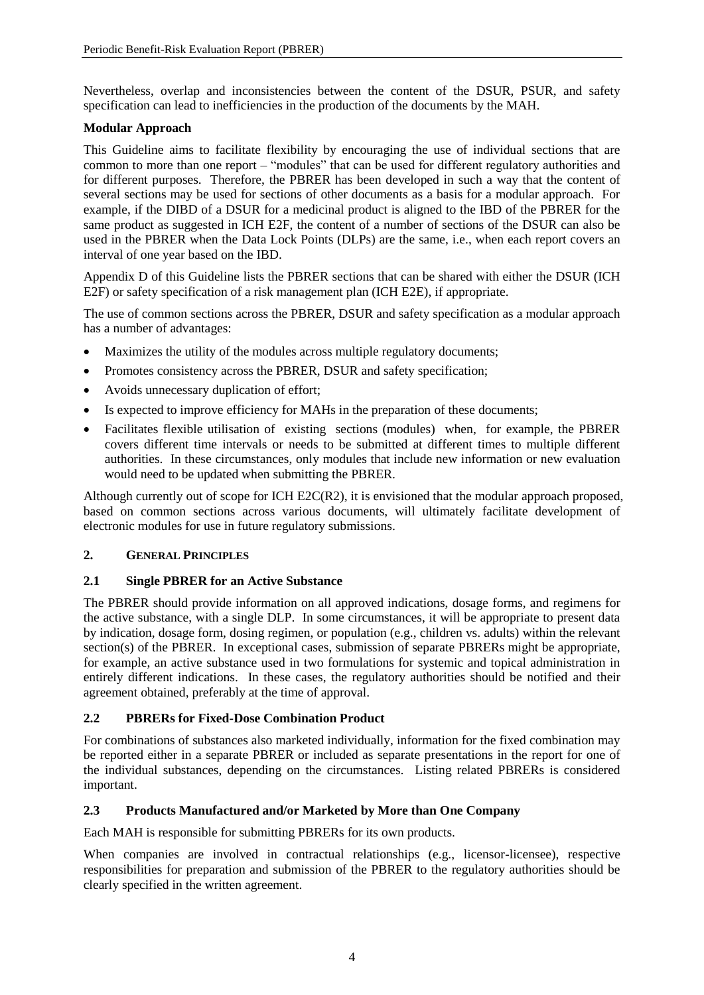Nevertheless, overlap and inconsistencies between the content of the DSUR, PSUR, and safety specification can lead to inefficiencies in the production of the documents by the MAH.

# **Modular Approach**

This Guideline aims to facilitate flexibility by encouraging the use of individual sections that are common to more than one report – "modules" that can be used for different regulatory authorities and for different purposes. Therefore, the PBRER has been developed in such a way that the content of several sections may be used for sections of other documents as a basis for a modular approach. For example, if the DIBD of a DSUR for a medicinal product is aligned to the IBD of the PBRER for the same product as suggested in ICH E2F, the content of a number of sections of the DSUR can also be used in the PBRER when the Data Lock Points (DLPs) are the same, i.e., when each report covers an interval of one year based on the IBD.

Appendix D of this Guideline lists the PBRER sections that can be shared with either the DSUR (ICH E2F) or safety specification of a risk management plan (ICH E2E), if appropriate.

The use of common sections across the PBRER, DSUR and safety specification as a modular approach has a number of advantages:

- Maximizes the utility of the modules across multiple regulatory documents;
- Promotes consistency across the PBRER, DSUR and safety specification:
- Avoids unnecessary duplication of effort;
- Is expected to improve efficiency for MAHs in the preparation of these documents;
- Facilitates flexible utilisation of existing sections (modules) when, for example, the PBRER covers different time intervals or needs to be submitted at different times to multiple different authorities. In these circumstances, only modules that include new information or new evaluation would need to be updated when submitting the PBRER.

Although currently out of scope for ICH E2C(R2), it is envisioned that the modular approach proposed, based on common sections across various documents, will ultimately facilitate development of electronic modules for use in future regulatory submissions.

# <span id="page-7-0"></span>**2. GENERAL PRINCIPLES**

# <span id="page-7-1"></span>**2.1 Single PBRER for an Active Substance**

The PBRER should provide information on all approved indications, dosage forms, and regimens for the active substance, with a single DLP. In some circumstances, it will be appropriate to present data by indication, dosage form, dosing regimen, or population (e.g., children vs. adults) within the relevant section(s) of the PBRER. In exceptional cases, submission of separate PBRERs might be appropriate, for example, an active substance used in two formulations for systemic and topical administration in entirely different indications. In these cases, the regulatory authorities should be notified and their agreement obtained, preferably at the time of approval.

# <span id="page-7-2"></span>**2.2 PBRERs for Fixed-Dose Combination Product**

For combinations of substances also marketed individually, information for the fixed combination may be reported either in a separate PBRER or included as separate presentations in the report for one of the individual substances, depending on the circumstances. Listing related PBRERs is considered important.

# <span id="page-7-3"></span>**2.3 Products Manufactured and/or Marketed by More than One Company**

Each MAH is responsible for submitting PBRERs for its own products.

When companies are involved in contractual relationships (e.g., licensor-licensee), respective responsibilities for preparation and submission of the PBRER to the regulatory authorities should be clearly specified in the written agreement.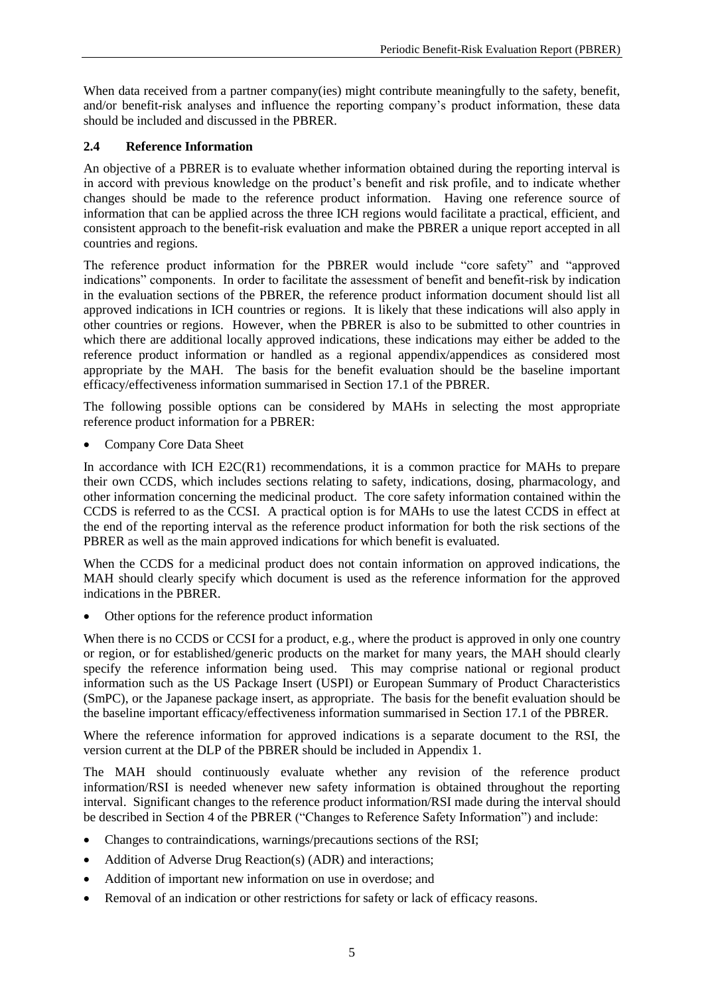When data received from a partner company(ies) might contribute meaningfully to the safety, benefit, and/or benefit-risk analyses and influence the reporting company's product information, these data should be included and discussed in the PBRER.

# <span id="page-8-0"></span>**2.4 Reference Information**

An objective of a PBRER is to evaluate whether information obtained during the reporting interval is in accord with previous knowledge on the product's benefit and risk profile, and to indicate whether changes should be made to the reference product information. Having one reference source of information that can be applied across the three ICH regions would facilitate a practical, efficient, and consistent approach to the benefit-risk evaluation and make the PBRER a unique report accepted in all countries and regions.

The reference product information for the PBRER would include "core safety" and "approved indications" components. In order to facilitate the assessment of benefit and benefit-risk by indication in the evaluation sections of the PBRER, the reference product information document should list all approved indications in ICH countries or regions. It is likely that these indications will also apply in other countries or regions. However, when the PBRER is also to be submitted to other countries in which there are additional locally approved indications, these indications may either be added to the reference product information or handled as a regional appendix/appendices as considered most appropriate by the MAH. The basis for the benefit evaluation should be the baseline important efficacy/effectiveness information summarised in Section 17.1 of the PBRER.

The following possible options can be considered by MAHs in selecting the most appropriate reference product information for a PBRER:

Company Core Data Sheet

In accordance with ICH E2C(R1) recommendations, it is a common practice for MAHs to prepare their own CCDS, which includes sections relating to safety, indications, dosing, pharmacology, and other information concerning the medicinal product. The core safety information contained within the CCDS is referred to as the CCSI. A practical option is for MAHs to use the latest CCDS in effect at the end of the reporting interval as the reference product information for both the risk sections of the PBRER as well as the main approved indications for which benefit is evaluated.

When the CCDS for a medicinal product does not contain information on approved indications, the MAH should clearly specify which document is used as the reference information for the approved indications in the PBRER.

Other options for the reference product information

When there is no CCDS or CCSI for a product, e.g., where the product is approved in only one country or region, or for established/generic products on the market for many years, the MAH should clearly specify the reference information being used. This may comprise national or regional product information such as the US Package Insert (USPI) or European Summary of Product Characteristics (SmPC), or the Japanese package insert, as appropriate. The basis for the benefit evaluation should be the baseline important efficacy/effectiveness information summarised in Section 17.1 of the PBRER.

Where the reference information for approved indications is a separate document to the RSI, the version current at the DLP of the PBRER should be included in Appendix 1.

The MAH should continuously evaluate whether any revision of the reference product information/RSI is needed whenever new safety information is obtained throughout the reporting interval. Significant changes to the reference product information/RSI made during the interval should be described in Section 4 of the PBRER ("Changes to Reference Safety Information") and include:

- Changes to contraindications, warnings/precautions sections of the RSI;
- Addition of Adverse Drug Reaction(s) (ADR) and interactions;
- Addition of important new information on use in overdose; and
- Removal of an indication or other restrictions for safety or lack of efficacy reasons.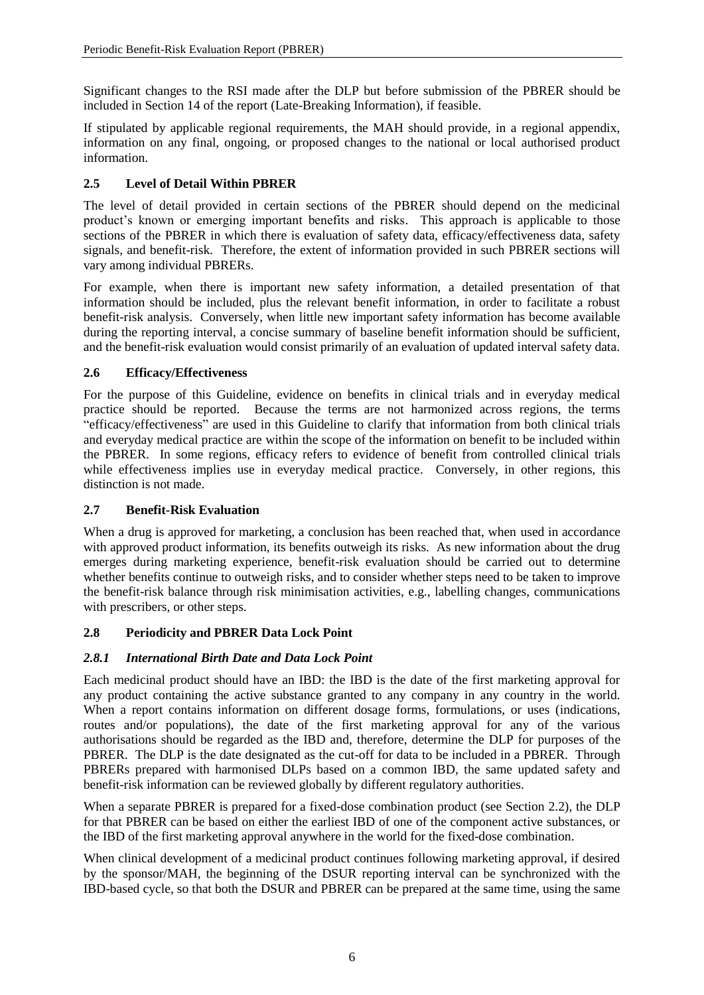Significant changes to the RSI made after the DLP but before submission of the PBRER should be included in Section 14 of the report (Late-Breaking Information), if feasible.

If stipulated by applicable regional requirements, the MAH should provide, in a regional appendix, information on any final, ongoing, or proposed changes to the national or local authorised product information.

# <span id="page-9-0"></span>**2.5 Level of Detail Within PBRER**

The level of detail provided in certain sections of the PBRER should depend on the medicinal product's known or emerging important benefits and risks. This approach is applicable to those sections of the PBRER in which there is evaluation of safety data, efficacy/effectiveness data, safety signals, and benefit-risk. Therefore, the extent of information provided in such PBRER sections will vary among individual PBRERs.

For example, when there is important new safety information, a detailed presentation of that information should be included, plus the relevant benefit information, in order to facilitate a robust benefit-risk analysis. Conversely, when little new important safety information has become available during the reporting interval, a concise summary of baseline benefit information should be sufficient, and the benefit-risk evaluation would consist primarily of an evaluation of updated interval safety data.

# <span id="page-9-1"></span>**2.6 Efficacy/Effectiveness**

For the purpose of this Guideline, evidence on benefits in clinical trials and in everyday medical practice should be reported. Because the terms are not harmonized across regions, the terms "efficacy/effectiveness" are used in this Guideline to clarify that information from both clinical trials and everyday medical practice are within the scope of the information on benefit to be included within the PBRER. In some regions, efficacy refers to evidence of benefit from controlled clinical trials while effectiveness implies use in everyday medical practice. Conversely, in other regions, this distinction is not made.

# <span id="page-9-2"></span>**2.7 Benefit-Risk Evaluation**

When a drug is approved for marketing, a conclusion has been reached that, when used in accordance with approved product information, its benefits outweigh its risks. As new information about the drug emerges during marketing experience, benefit-risk evaluation should be carried out to determine whether benefits continue to outweigh risks, and to consider whether steps need to be taken to improve the benefit-risk balance through risk minimisation activities, e.g., labelling changes, communications with prescribers, or other steps.

# <span id="page-9-3"></span>**2.8 Periodicity and PBRER Data Lock Point**

# <span id="page-9-4"></span>*2.8.1 International Birth Date and Data Lock Point*

Each medicinal product should have an IBD: the IBD is the date of the first marketing approval for any product containing the active substance granted to any company in any country in the world. When a report contains information on different dosage forms, formulations, or uses (indications, routes and/or populations), the date of the first marketing approval for any of the various authorisations should be regarded as the IBD and, therefore, determine the DLP for purposes of the PBRER. The DLP is the date designated as the cut-off for data to be included in a PBRER. Through PBRERs prepared with harmonised DLPs based on a common IBD, the same updated safety and benefit-risk information can be reviewed globally by different regulatory authorities.

When a separate PBRER is prepared for a fixed-dose combination product (see Section 2.2), the DLP for that PBRER can be based on either the earliest IBD of one of the component active substances, or the IBD of the first marketing approval anywhere in the world for the fixed-dose combination.

When clinical development of a medicinal product continues following marketing approval, if desired by the sponsor/MAH, the beginning of the DSUR reporting interval can be synchronized with the IBD-based cycle, so that both the DSUR and PBRER can be prepared at the same time, using the same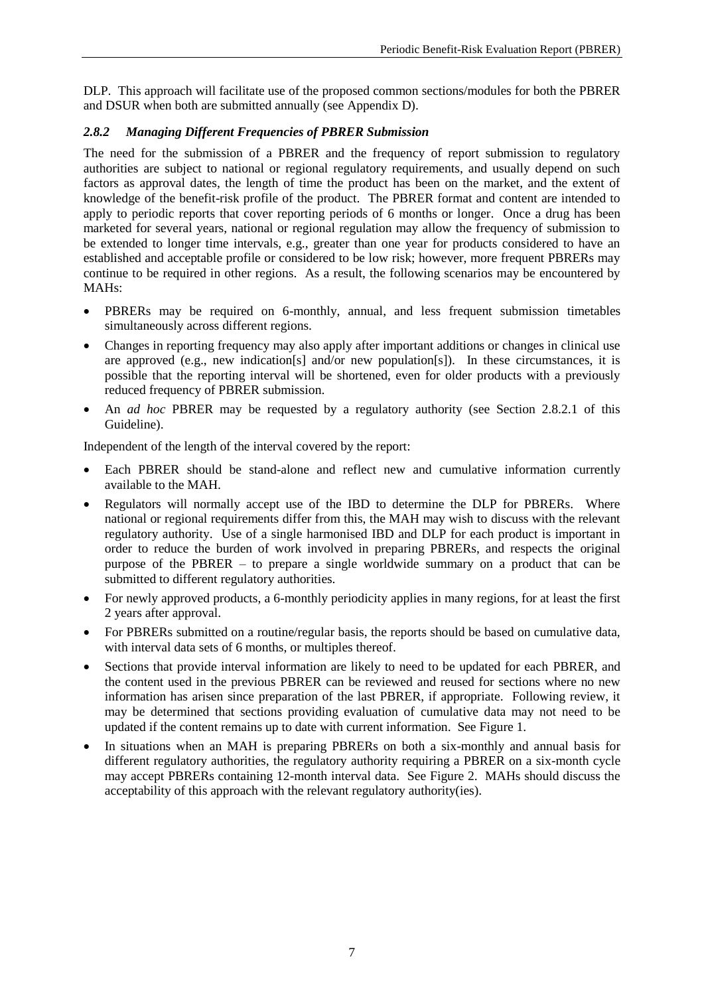DLP. This approach will facilitate use of the proposed common sections/modules for both the PBRER and DSUR when both are submitted annually (see Appendix D).

#### <span id="page-10-0"></span>*2.8.2 Managing Different Frequencies of PBRER Submission*

The need for the submission of a PBRER and the frequency of report submission to regulatory authorities are subject to national or regional regulatory requirements, and usually depend on such factors as approval dates, the length of time the product has been on the market, and the extent of knowledge of the benefit-risk profile of the product. The PBRER format and content are intended to apply to periodic reports that cover reporting periods of 6 months or longer. Once a drug has been marketed for several years, national or regional regulation may allow the frequency of submission to be extended to longer time intervals, e.g., greater than one year for products considered to have an established and acceptable profile or considered to be low risk; however, more frequent PBRERs may continue to be required in other regions. As a result, the following scenarios may be encountered by MAHs:

- PBRERs may be required on 6-monthly, annual, and less frequent submission timetables simultaneously across different regions.
- Changes in reporting frequency may also apply after important additions or changes in clinical use are approved (e.g., new indication[s] and/or new population[s]). In these circumstances, it is possible that the reporting interval will be shortened, even for older products with a previously reduced frequency of PBRER submission.
- An *ad hoc* PBRER may be requested by a regulatory authority (see Section 2.8.2.1 of this Guideline).

Independent of the length of the interval covered by the report:

- Each PBRER should be stand-alone and reflect new and cumulative information currently available to the MAH.
- Regulators will normally accept use of the IBD to determine the DLP for PBRERs. Where national or regional requirements differ from this, the MAH may wish to discuss with the relevant regulatory authority. Use of a single harmonised IBD and DLP for each product is important in order to reduce the burden of work involved in preparing PBRERs, and respects the original purpose of the PBRER – to prepare a single worldwide summary on a product that can be submitted to different regulatory authorities.
- For newly approved products, a 6-monthly periodicity applies in many regions, for at least the first 2 years after approval.
- For PBRERs submitted on a routine/regular basis, the reports should be based on cumulative data, with interval data sets of 6 months, or multiples thereof.
- Sections that provide interval information are likely to need to be updated for each PBRER, and the content used in the previous PBRER can be reviewed and reused for sections where no new information has arisen since preparation of the last PBRER, if appropriate. Following review, it may be determined that sections providing evaluation of cumulative data may not need to be updated if the content remains up to date with current information. See Figure 1.
- In situations when an MAH is preparing PBRERs on both a six-monthly and annual basis for different regulatory authorities, the regulatory authority requiring a PBRER on a six-month cycle may accept PBRERs containing 12-month interval data. See Figure 2. MAHs should discuss the acceptability of this approach with the relevant regulatory authority(ies).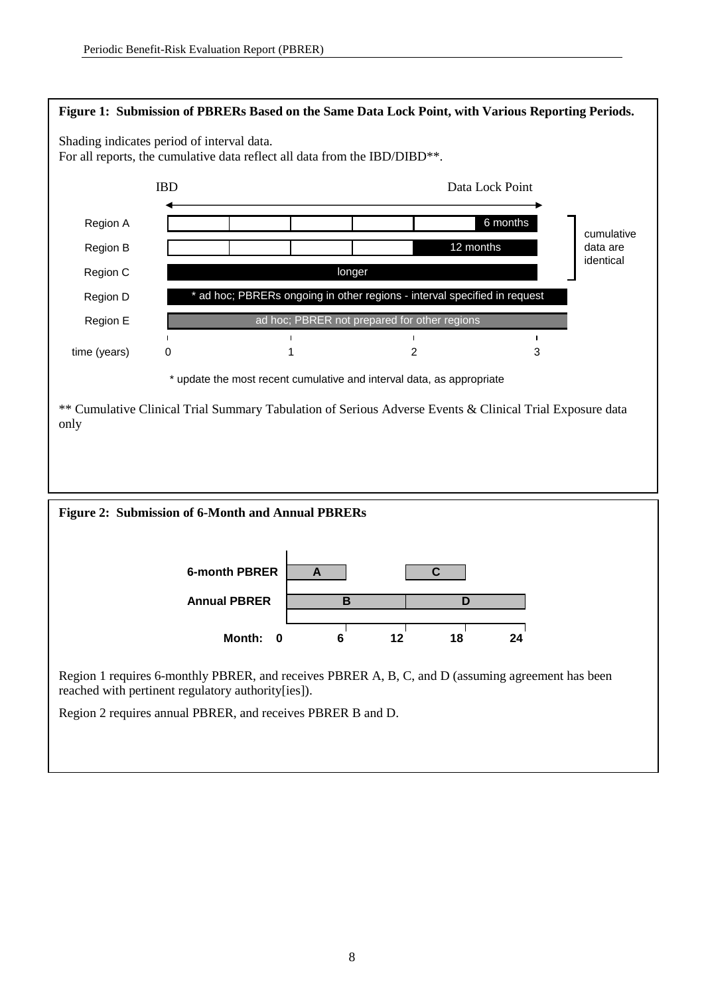

Region 1 requires 6-monthly PBRER, and receives PBRER A, B, C, and D (assuming agreement has been reached with pertinent regulatory authority[ies]).

Region 2 requires annual PBRER, and receives PBRER B and D.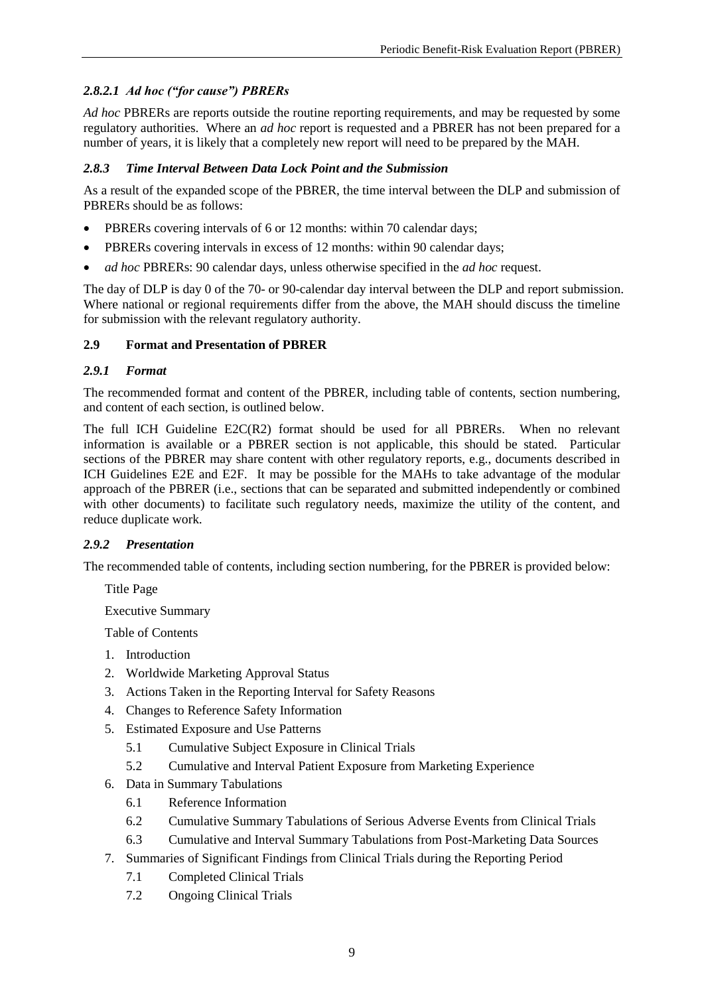# *2.8.2.1 Ad hoc ("for cause") PBRERs*

*Ad hoc* PBRERs are reports outside the routine reporting requirements, and may be requested by some regulatory authorities. Where an *ad hoc* report is requested and a PBRER has not been prepared for a number of years, it is likely that a completely new report will need to be prepared by the MAH.

# <span id="page-12-0"></span>*2.8.3 Time Interval Between Data Lock Point and the Submission*

As a result of the expanded scope of the PBRER, the time interval between the DLP and submission of PBRERs should be as follows:

- PBRERs covering intervals of 6 or 12 months: within 70 calendar days;
- PBRERs covering intervals in excess of 12 months: within 90 calendar days;
- *ad hoc* PBRERs: 90 calendar days, unless otherwise specified in the *ad hoc* request.

The day of DLP is day 0 of the 70- or 90-calendar day interval between the DLP and report submission. Where national or regional requirements differ from the above, the MAH should discuss the timeline for submission with the relevant regulatory authority.

# <span id="page-12-1"></span>**2.9 Format and Presentation of PBRER**

# <span id="page-12-2"></span>*2.9.1 Format*

The recommended format and content of the PBRER, including table of contents, section numbering, and content of each section, is outlined below.

The full ICH Guideline E2C(R2) format should be used for all PBRERs. When no relevant information is available or a PBRER section is not applicable, this should be stated. Particular sections of the PBRER may share content with other regulatory reports, e.g., documents described in ICH Guidelines E2E and E2F. It may be possible for the MAHs to take advantage of the modular approach of the PBRER (i.e., sections that can be separated and submitted independently or combined with other documents) to facilitate such regulatory needs, maximize the utility of the content, and reduce duplicate work.

# <span id="page-12-3"></span>*2.9.2 Presentation*

The recommended table of contents, including section numbering, for the PBRER is provided below:

Title Page

Executive Summary

Table of Contents

- 1. Introduction
- 2. Worldwide Marketing Approval Status
- 3. Actions Taken in the Reporting Interval for Safety Reasons
- 4. Changes to Reference Safety Information
- 5. Estimated Exposure and Use Patterns
	- 5.1 Cumulative Subject Exposure in Clinical Trials
	- 5.2 Cumulative and Interval Patient Exposure from Marketing Experience
- 6. Data in Summary Tabulations
	- 6.1 Reference Information
	- 6.2 Cumulative Summary Tabulations of Serious Adverse Events from Clinical Trials
	- 6.3 Cumulative and Interval Summary Tabulations from Post-Marketing Data Sources
- 7. Summaries of Significant Findings from Clinical Trials during the Reporting Period
	- 7.1 Completed Clinical Trials
	- 7.2 Ongoing Clinical Trials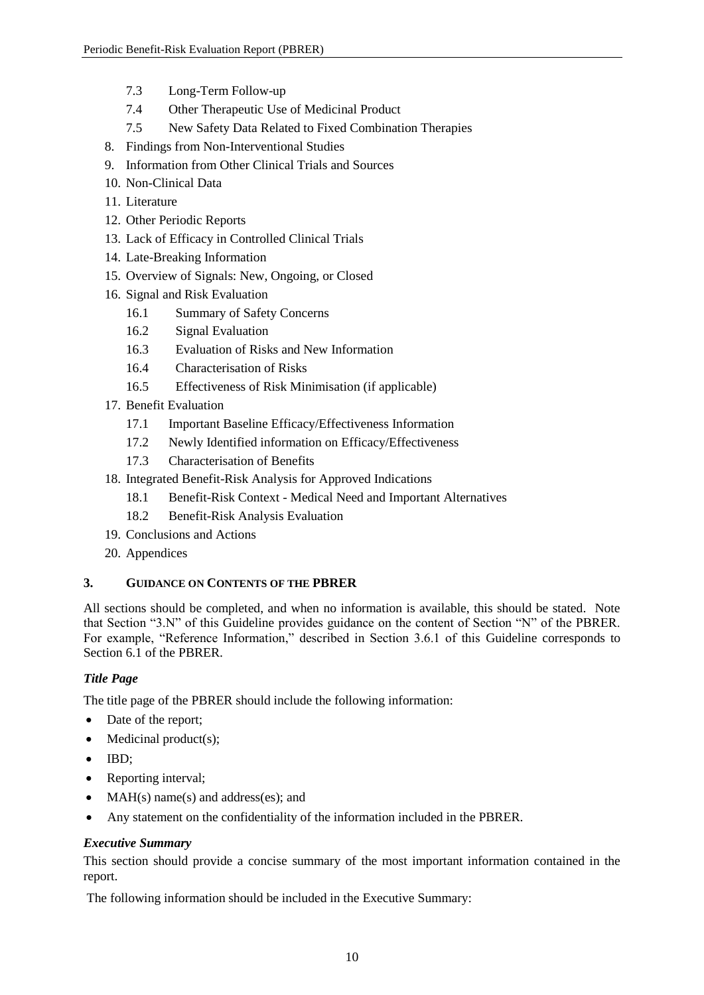- 7.3 Long-Term Follow-up
- 7.4 Other Therapeutic Use of Medicinal Product
- 7.5 New Safety Data Related to Fixed Combination Therapies
- 8. Findings from Non-Interventional Studies
- 9. Information from Other Clinical Trials and Sources
- 10. Non-Clinical Data
- 11. Literature
- 12. Other Periodic Reports
- 13. Lack of Efficacy in Controlled Clinical Trials
- 14. Late-Breaking Information
- 15. Overview of Signals: New, Ongoing, or Closed
- 16. Signal and Risk Evaluation
	- 16.1 Summary of Safety Concerns
	- 16.2 Signal Evaluation
	- 16.3 Evaluation of Risks and New Information
	- 16.4 Characterisation of Risks
	- 16.5 Effectiveness of Risk Minimisation (if applicable)
- 17. Benefit Evaluation
	- 17.1 Important Baseline Efficacy/Effectiveness Information
	- 17.2 Newly Identified information on Efficacy/Effectiveness
	- 17.3 Characterisation of Benefits
- 18. Integrated Benefit-Risk Analysis for Approved Indications
	- 18.1 Benefit-Risk Context Medical Need and Important Alternatives
	- 18.2 Benefit-Risk Analysis Evaluation
- 19. Conclusions and Actions
- 20. Appendices

# <span id="page-13-0"></span>**3. GUIDANCE ON CONTENTS OF THE PBRER**

All sections should be completed, and when no information is available, this should be stated. Note that Section "3.N" of this Guideline provides guidance on the content of Section "N" of the PBRER. For example, "Reference Information," described in Section 3.6.1 of this Guideline corresponds to Section 6.1 of the PBRER.

# *Title Page*

The title page of the PBRER should include the following information:

- Date of the report;
- $\bullet$  Medicinal product(s);
- $\bullet$  IBD;
- Reporting interval;
- MAH(s) name(s) and address(es); and
- Any statement on the confidentiality of the information included in the PBRER.

# *Executive Summary*

This section should provide a concise summary of the most important information contained in the report.

The following information should be included in the Executive Summary: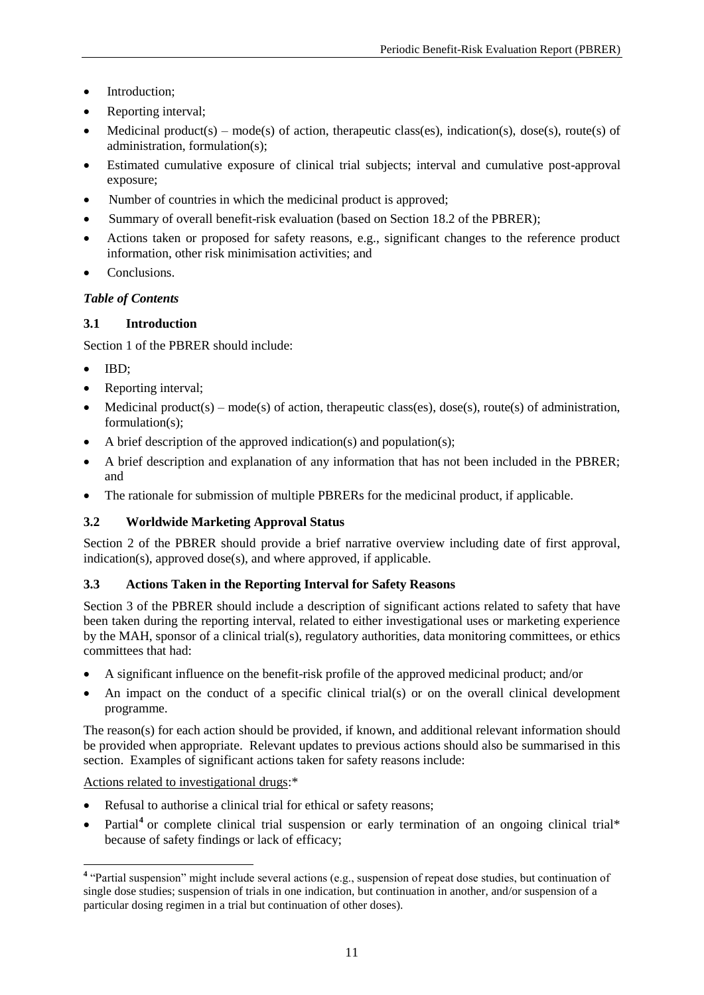- Introduction:
- Reporting interval;
- Medicinal product(s) mode(s) of action, therapeutic class(es), indication(s), dose(s), route(s) of administration, formulation(s);
- Estimated cumulative exposure of clinical trial subjects; interval and cumulative post-approval exposure;
- Number of countries in which the medicinal product is approved;
- Summary of overall benefit-risk evaluation (based on Section 18.2 of the PBRER);
- Actions taken or proposed for safety reasons, e.g., significant changes to the reference product information, other risk minimisation activities; and
- Conclusions

# *Table of Contents*

# <span id="page-14-0"></span>**3.1 Introduction**

Section 1 of the PBRER should include:

- IBD:
- Reporting interval;
- Medicinal product(s) mode(s) of action, therapeutic class(es), dose(s), route(s) of administration, formulation(s);
- A brief description of the approved indication(s) and population(s);
- A brief description and explanation of any information that has not been included in the PBRER; and
- The rationale for submission of multiple PBRERs for the medicinal product, if applicable.

# <span id="page-14-1"></span>**3.2 Worldwide Marketing Approval Status**

Section 2 of the PBRER should provide a brief narrative overview including date of first approval, indication(s), approved dose(s), and where approved, if applicable.

# <span id="page-14-2"></span>**3.3 Actions Taken in the Reporting Interval for Safety Reasons**

Section 3 of the PBRER should include a description of significant actions related to safety that have been taken during the reporting interval, related to either investigational uses or marketing experience by the MAH, sponsor of a clinical trial(s), regulatory authorities, data monitoring committees, or ethics committees that had:

- A significant influence on the benefit-risk profile of the approved medicinal product; and/or
- An impact on the conduct of a specific clinical trial(s) or on the overall clinical development programme.

The reason(s) for each action should be provided, if known, and additional relevant information should be provided when appropriate. Relevant updates to previous actions should also be summarised in this section. Examples of significant actions taken for safety reasons include:

# Actions related to investigational drugs:\*

- Refusal to authorise a clinical trial for ethical or safety reasons;
- Partial<sup>4</sup> or complete clinical trial suspension or early termination of an ongoing clinical trial\* because of safety findings or lack of efficacy;

 $\overline{a}$ <sup>4</sup> "Partial suspension" might include several actions (e.g., suspension of repeat dose studies, but continuation of single dose studies; suspension of trials in one indication, but continuation in another, and/or suspension of a particular dosing regimen in a trial but continuation of other doses).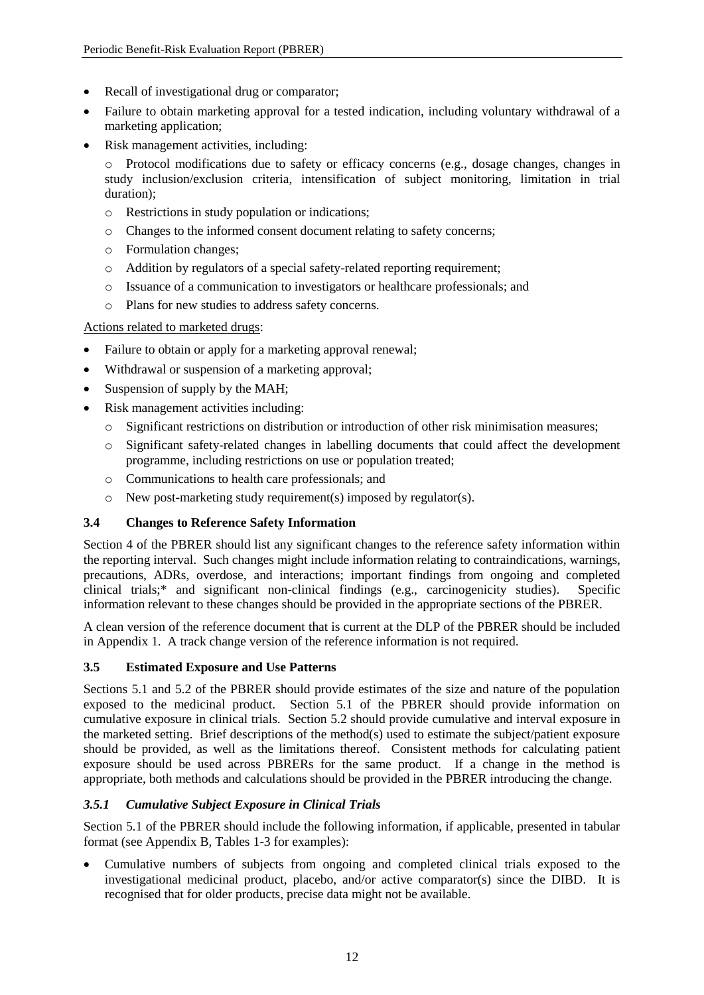- Recall of investigational drug or comparator;
- Failure to obtain marketing approval for a tested indication, including voluntary withdrawal of a marketing application;
- Risk management activities, including:
	- o Protocol modifications due to safety or efficacy concerns (e.g., dosage changes, changes in study inclusion/exclusion criteria, intensification of subject monitoring, limitation in trial duration);
	- o Restrictions in study population or indications;
	- o Changes to the informed consent document relating to safety concerns;
	- o Formulation changes;
	- o Addition by regulators of a special safety-related reporting requirement;
	- o Issuance of a communication to investigators or healthcare professionals; and
	- o Plans for new studies to address safety concerns.

# Actions related to marketed drugs:

- Failure to obtain or apply for a marketing approval renewal;
- Withdrawal or suspension of a marketing approval;
- Suspension of supply by the MAH;
- Risk management activities including:
	- o Significant restrictions on distribution or introduction of other risk minimisation measures;
	- o Significant safety-related changes in labelling documents that could affect the development programme, including restrictions on use or population treated;
	- o Communications to health care professionals; and
	- o New post-marketing study requirement(s) imposed by regulator(s).

# <span id="page-15-0"></span>**3.4 Changes to Reference Safety Information**

Section 4 of the PBRER should list any significant changes to the reference safety information within the reporting interval. Such changes might include information relating to contraindications, warnings, precautions, ADRs, overdose, and interactions; important findings from ongoing and completed clinical trials;\* and significant non-clinical findings (e.g., carcinogenicity studies). Specific information relevant to these changes should be provided in the appropriate sections of the PBRER.

A clean version of the reference document that is current at the DLP of the PBRER should be included in Appendix 1. A track change version of the reference information is not required.

# <span id="page-15-1"></span>**3.5 Estimated Exposure and Use Patterns**

Sections 5.1 and 5.2 of the PBRER should provide estimates of the size and nature of the population exposed to the medicinal product. Section 5.1 of the PBRER should provide information on cumulative exposure in clinical trials. Section 5.2 should provide cumulative and interval exposure in the marketed setting. Brief descriptions of the method(s) used to estimate the subject/patient exposure should be provided, as well as the limitations thereof. Consistent methods for calculating patient exposure should be used across PBRERs for the same product. If a change in the method is appropriate, both methods and calculations should be provided in the PBRER introducing the change.

# <span id="page-15-2"></span>*3.5.1 Cumulative Subject Exposure in Clinical Trials*

Section 5.1 of the PBRER should include the following information, if applicable, presented in tabular format (see Appendix B, Tables 1-3 for examples):

 Cumulative numbers of subjects from ongoing and completed clinical trials exposed to the investigational medicinal product, placebo, and/or active comparator(s) since the DIBD. It is recognised that for older products, precise data might not be available.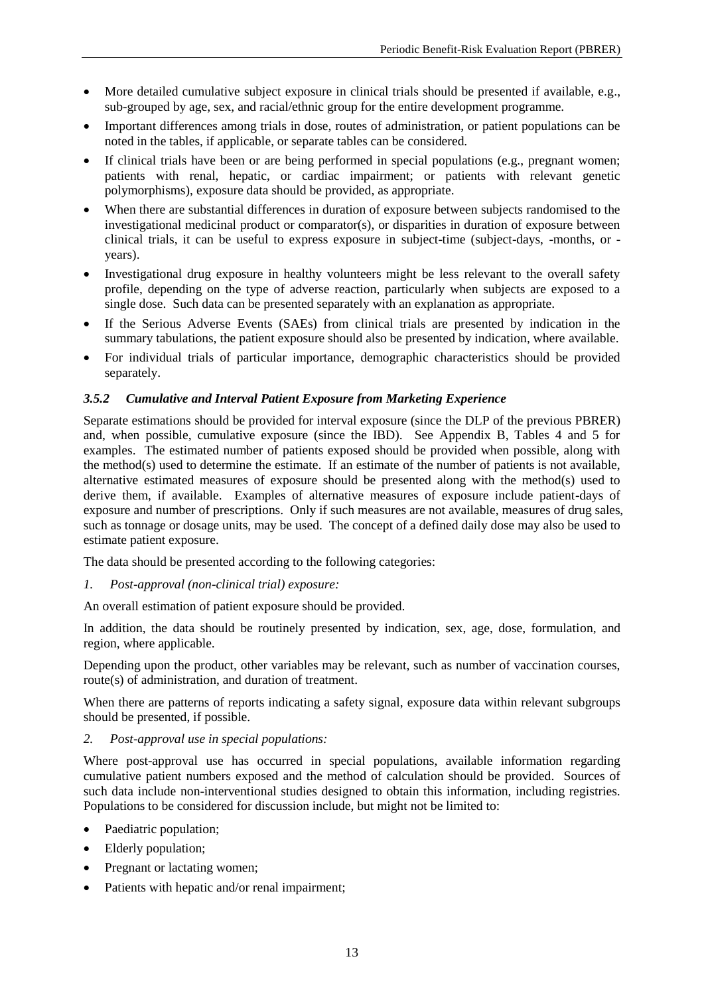- More detailed cumulative subject exposure in clinical trials should be presented if available, e.g., sub-grouped by age, sex, and racial/ethnic group for the entire development programme.
- Important differences among trials in dose, routes of administration, or patient populations can be noted in the tables, if applicable, or separate tables can be considered.
- If clinical trials have been or are being performed in special populations (e.g., pregnant women; patients with renal, hepatic, or cardiac impairment; or patients with relevant genetic polymorphisms), exposure data should be provided, as appropriate.
- When there are substantial differences in duration of exposure between subjects randomised to the investigational medicinal product or comparator(s), or disparities in duration of exposure between clinical trials, it can be useful to express exposure in subject-time (subject-days, -months, or years).
- Investigational drug exposure in healthy volunteers might be less relevant to the overall safety profile, depending on the type of adverse reaction, particularly when subjects are exposed to a single dose. Such data can be presented separately with an explanation as appropriate.
- If the Serious Adverse Events (SAEs) from clinical trials are presented by indication in the summary tabulations, the patient exposure should also be presented by indication, where available.
- For individual trials of particular importance, demographic characteristics should be provided separately.

# <span id="page-16-0"></span>*3.5.2 Cumulative and Interval Patient Exposure from Marketing Experience*

Separate estimations should be provided for interval exposure (since the DLP of the previous PBRER) and, when possible, cumulative exposure (since the IBD). See Appendix B, Tables 4 and 5 for examples. The estimated number of patients exposed should be provided when possible, along with the method(s) used to determine the estimate. If an estimate of the number of patients is not available, alternative estimated measures of exposure should be presented along with the method(s) used to derive them, if available. Examples of alternative measures of exposure include patient-days of exposure and number of prescriptions. Only if such measures are not available, measures of drug sales, such as tonnage or dosage units, may be used. The concept of a defined daily dose may also be used to estimate patient exposure.

The data should be presented according to the following categories:

*1. Post-approval (non-clinical trial) exposure:* 

An overall estimation of patient exposure should be provided.

In addition, the data should be routinely presented by indication, sex, age, dose, formulation, and region, where applicable.

Depending upon the product, other variables may be relevant, such as number of vaccination courses, route(s) of administration, and duration of treatment.

When there are patterns of reports indicating a safety signal, exposure data within relevant subgroups should be presented, if possible.

*2. Post-approval use in special populations:*

Where post-approval use has occurred in special populations, available information regarding cumulative patient numbers exposed and the method of calculation should be provided. Sources of such data include non-interventional studies designed to obtain this information, including registries. Populations to be considered for discussion include, but might not be limited to:

- Paediatric population;
- Elderly population:
- Pregnant or lactating women;
- Patients with hepatic and/or renal impairment;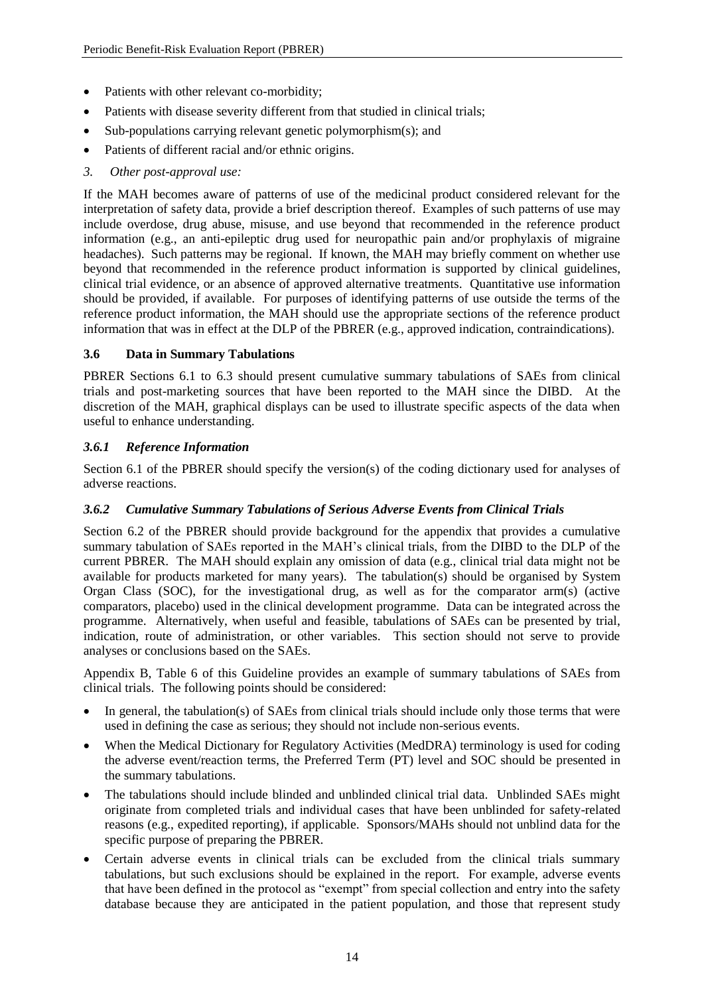- Patients with other relevant co-morbidity;
- Patients with disease severity different from that studied in clinical trials;
- Sub-populations carrying relevant genetic polymorphism(s); and
- Patients of different racial and/or ethnic origins.
- *3. Other post-approval use:*

If the MAH becomes aware of patterns of use of the medicinal product considered relevant for the interpretation of safety data, provide a brief description thereof. Examples of such patterns of use may include overdose, drug abuse, misuse, and use beyond that recommended in the reference product information (e.g., an anti-epileptic drug used for neuropathic pain and/or prophylaxis of migraine headaches). Such patterns may be regional. If known, the MAH may briefly comment on whether use beyond that recommended in the reference product information is supported by clinical guidelines, clinical trial evidence, or an absence of approved alternative treatments. Quantitative use information should be provided, if available. For purposes of identifying patterns of use outside the terms of the reference product information, the MAH should use the appropriate sections of the reference product information that was in effect at the DLP of the PBRER (e.g., approved indication, contraindications).

# <span id="page-17-0"></span>**3.6 Data in Summary Tabulations**

PBRER Sections 6.1 to 6.3 should present cumulative summary tabulations of SAEs from clinical trials and post-marketing sources that have been reported to the MAH since the DIBD. At the discretion of the MAH, graphical displays can be used to illustrate specific aspects of the data when useful to enhance understanding.

# <span id="page-17-1"></span>*3.6.1 Reference Information*

Section 6.1 of the PBRER should specify the version(s) of the coding dictionary used for analyses of adverse reactions.

# <span id="page-17-2"></span>*3.6.2 Cumulative Summary Tabulations of Serious Adverse Events from Clinical Trials*

Section 6.2 of the PBRER should provide background for the appendix that provides a cumulative summary tabulation of SAEs reported in the MAH's clinical trials, from the DIBD to the DLP of the current PBRER. The MAH should explain any omission of data (e.g., clinical trial data might not be available for products marketed for many years). The tabulation(s) should be organised by System Organ Class (SOC), for the investigational drug, as well as for the comparator arm(s) (active comparators, placebo) used in the clinical development programme. Data can be integrated across the programme. Alternatively, when useful and feasible, tabulations of SAEs can be presented by trial, indication, route of administration, or other variables. This section should not serve to provide analyses or conclusions based on the SAEs.

Appendix B, Table 6 of this Guideline provides an example of summary tabulations of SAEs from clinical trials. The following points should be considered:

- In general, the tabulation(s) of SAEs from clinical trials should include only those terms that were used in defining the case as serious; they should not include non-serious events.
- When the Medical Dictionary for Regulatory Activities (MedDRA) terminology is used for coding the adverse event/reaction terms, the Preferred Term (PT) level and SOC should be presented in the summary tabulations.
- The tabulations should include blinded and unblinded clinical trial data. Unblinded SAEs might originate from completed trials and individual cases that have been unblinded for safety-related reasons (e.g., expedited reporting), if applicable. Sponsors/MAHs should not unblind data for the specific purpose of preparing the PBRER.
- Certain adverse events in clinical trials can be excluded from the clinical trials summary tabulations, but such exclusions should be explained in the report. For example, adverse events that have been defined in the protocol as "exempt" from special collection and entry into the safety database because they are anticipated in the patient population, and those that represent study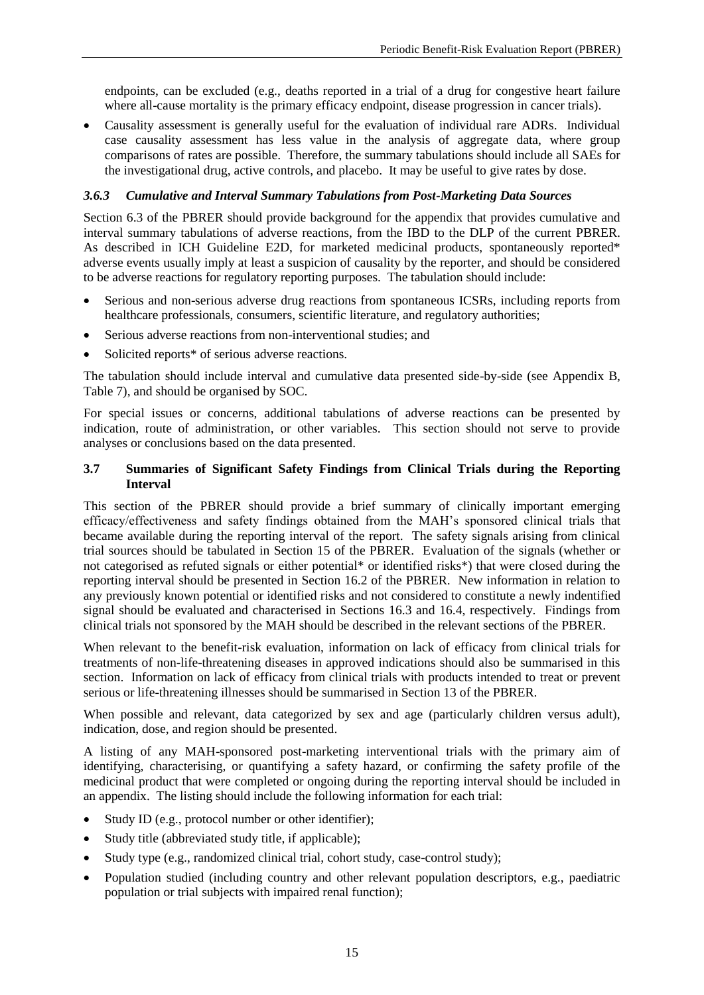endpoints, can be excluded (e.g., deaths reported in a trial of a drug for congestive heart failure where all-cause mortality is the primary efficacy endpoint, disease progression in cancer trials).

 Causality assessment is generally useful for the evaluation of individual rare ADRs. Individual case causality assessment has less value in the analysis of aggregate data, where group comparisons of rates are possible. Therefore, the summary tabulations should include all SAEs for the investigational drug, active controls, and placebo. It may be useful to give rates by dose.

#### <span id="page-18-0"></span>*3.6.3 Cumulative and Interval Summary Tabulations from Post-Marketing Data Sources*

Section 6.3 of the PBRER should provide background for the appendix that provides cumulative and interval summary tabulations of adverse reactions, from the IBD to the DLP of the current PBRER. As described in ICH Guideline E2D, for marketed medicinal products, spontaneously reported\* adverse events usually imply at least a suspicion of causality by the reporter, and should be considered to be adverse reactions for regulatory reporting purposes. The tabulation should include:

- Serious and non-serious adverse drug reactions from spontaneous ICSRs, including reports from healthcare professionals, consumers, scientific literature, and regulatory authorities;
- Serious adverse reactions from non-interventional studies; and
- Solicited reports\* of serious adverse reactions.

The tabulation should include interval and cumulative data presented side-by-side (see Appendix B, Table 7), and should be organised by SOC.

For special issues or concerns, additional tabulations of adverse reactions can be presented by indication, route of administration, or other variables. This section should not serve to provide analyses or conclusions based on the data presented.

#### <span id="page-18-1"></span>**3.7 Summaries of Significant Safety Findings from Clinical Trials during the Reporting Interval**

This section of the PBRER should provide a brief summary of clinically important emerging efficacy/effectiveness and safety findings obtained from the MAH's sponsored clinical trials that became available during the reporting interval of the report. The safety signals arising from clinical trial sources should be tabulated in Section 15 of the PBRER. Evaluation of the signals (whether or not categorised as refuted signals or either potential\* or identified risks\*) that were closed during the reporting interval should be presented in Section 16.2 of the PBRER. New information in relation to any previously known potential or identified risks and not considered to constitute a newly indentified signal should be evaluated and characterised in Sections 16.3 and 16.4, respectively. Findings from clinical trials not sponsored by the MAH should be described in the relevant sections of the PBRER.

When relevant to the benefit-risk evaluation, information on lack of efficacy from clinical trials for treatments of non-life-threatening diseases in approved indications should also be summarised in this section. Information on lack of efficacy from clinical trials with products intended to treat or prevent serious or life-threatening illnesses should be summarised in Section 13 of the PBRER.

When possible and relevant, data categorized by sex and age (particularly children versus adult), indication, dose, and region should be presented.

A listing of any MAH-sponsored post-marketing interventional trials with the primary aim of identifying, characterising, or quantifying a safety hazard, or confirming the safety profile of the medicinal product that were completed or ongoing during the reporting interval should be included in an appendix. The listing should include the following information for each trial:

- Study ID (e.g., protocol number or other identifier);
- Study title (abbreviated study title, if applicable);
- Study type (e.g., randomized clinical trial, cohort study, case-control study);
- Population studied (including country and other relevant population descriptors, e.g., paediatric population or trial subjects with impaired renal function);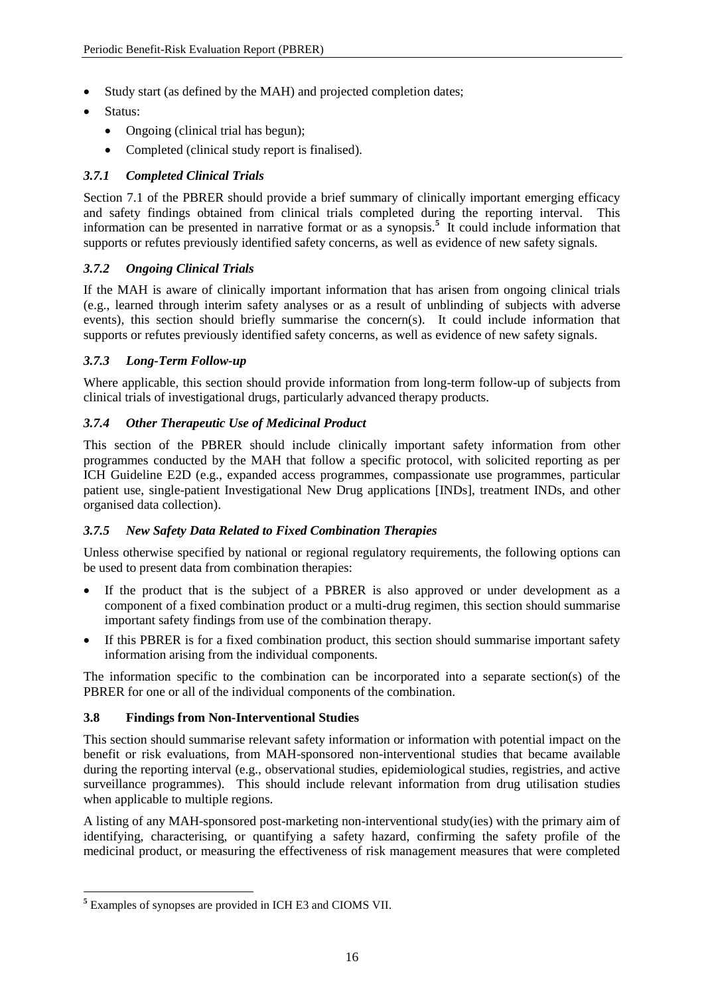- Study start (as defined by the MAH) and projected completion dates;
- Status:
	- Ongoing (clinical trial has begun);
	- Completed (clinical study report is finalised).

# <span id="page-19-0"></span>*3.7.1 Completed Clinical Trials*

Section 7.1 of the PBRER should provide a brief summary of clinically important emerging efficacy and safety findings obtained from clinical trials completed during the reporting interval. This information can be presented in narrative format or as a synopsis.<sup>5</sup> It could include information that supports or refutes previously identified safety concerns, as well as evidence of new safety signals.

# <span id="page-19-1"></span>*3.7.2 Ongoing Clinical Trials*

If the MAH is aware of clinically important information that has arisen from ongoing clinical trials (e.g., learned through interim safety analyses or as a result of unblinding of subjects with adverse events), this section should briefly summarise the concern(s). It could include information that supports or refutes previously identified safety concerns, as well as evidence of new safety signals.

# <span id="page-19-2"></span>*3.7.3 Long-Term Follow-up*

Where applicable, this section should provide information from long-term follow-up of subjects from clinical trials of investigational drugs, particularly advanced therapy products.

# <span id="page-19-3"></span>*3.7.4 Other Therapeutic Use of Medicinal Product*

This section of the PBRER should include clinically important safety information from other programmes conducted by the MAH that follow a specific protocol, with solicited reporting as per ICH Guideline E2D (e.g., expanded access programmes, compassionate use programmes, particular patient use, single-patient Investigational New Drug applications [INDs], treatment INDs, and other organised data collection).

# <span id="page-19-4"></span>*3.7.5 New Safety Data Related to Fixed Combination Therapies*

Unless otherwise specified by national or regional regulatory requirements, the following options can be used to present data from combination therapies:

- If the product that is the subject of a PBRER is also approved or under development as a component of a fixed combination product or a multi-drug regimen, this section should summarise important safety findings from use of the combination therapy.
- If this PBRER is for a fixed combination product, this section should summarise important safety information arising from the individual components.

The information specific to the combination can be incorporated into a separate section(s) of the PBRER for one or all of the individual components of the combination.

# <span id="page-19-5"></span>**3.8 Findings from Non-Interventional Studies**

This section should summarise relevant safety information or information with potential impact on the benefit or risk evaluations, from MAH-sponsored non-interventional studies that became available during the reporting interval (e.g., observational studies, epidemiological studies, registries, and active surveillance programmes). This should include relevant information from drug utilisation studies when applicable to multiple regions.

A listing of any MAH-sponsored post-marketing non-interventional study(ies) with the primary aim of identifying, characterising, or quantifying a safety hazard, confirming the safety profile of the medicinal product, or measuring the effectiveness of risk management measures that were completed

 $\overline{a}$ 

**<sup>5</sup>** Examples of synopses are provided in ICH E3 and CIOMS VII.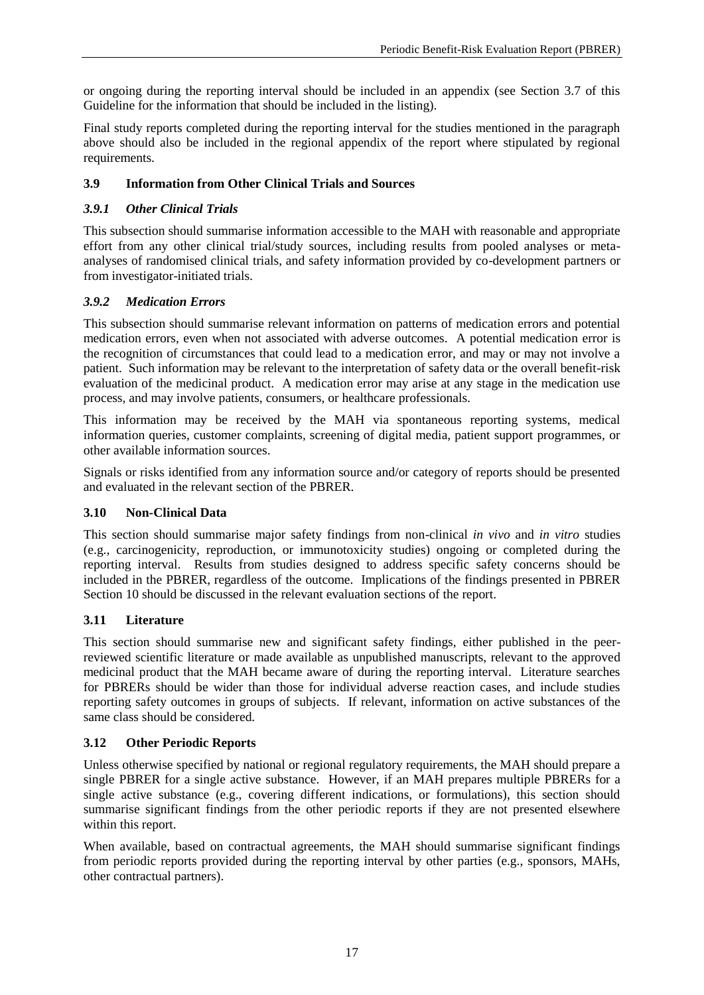or ongoing during the reporting interval should be included in an appendix (see Section 3.7 of this Guideline for the information that should be included in the listing).

Final study reports completed during the reporting interval for the studies mentioned in the paragraph above should also be included in the regional appendix of the report where stipulated by regional requirements.

# <span id="page-20-0"></span>**3.9 Information from Other Clinical Trials and Sources**

# <span id="page-20-1"></span>*3.9.1 Other Clinical Trials*

This subsection should summarise information accessible to the MAH with reasonable and appropriate effort from any other clinical trial/study sources, including results from pooled analyses or metaanalyses of randomised clinical trials, and safety information provided by co-development partners or from investigator-initiated trials.

# <span id="page-20-2"></span>*3.9.2 Medication Errors*

This subsection should summarise relevant information on patterns of medication errors and potential medication errors, even when not associated with adverse outcomes. A potential medication error is the recognition of circumstances that could lead to a medication error, and may or may not involve a patient. Such information may be relevant to the interpretation of safety data or the overall benefit-risk evaluation of the medicinal product. A medication error may arise at any stage in the medication use process, and may involve patients, consumers, or healthcare professionals.

This information may be received by the MAH via spontaneous reporting systems, medical information queries, customer complaints, screening of digital media, patient support programmes, or other available information sources.

Signals or risks identified from any information source and/or category of reports should be presented and evaluated in the relevant section of the PBRER.

# <span id="page-20-3"></span>**3.10 Non-Clinical Data**

This section should summarise major safety findings from non-clinical *in vivo* and *in vitro* studies (e.g., carcinogenicity, reproduction, or immunotoxicity studies) ongoing or completed during the reporting interval. Results from studies designed to address specific safety concerns should be included in the PBRER, regardless of the outcome. Implications of the findings presented in PBRER Section 10 should be discussed in the relevant evaluation sections of the report.

# <span id="page-20-4"></span>**3.11 Literature**

This section should summarise new and significant safety findings, either published in the peerreviewed scientific literature or made available as unpublished manuscripts, relevant to the approved medicinal product that the MAH became aware of during the reporting interval. Literature searches for PBRERs should be wider than those for individual adverse reaction cases, and include studies reporting safety outcomes in groups of subjects. If relevant, information on active substances of the same class should be considered.

# <span id="page-20-5"></span>**3.12 Other Periodic Reports**

Unless otherwise specified by national or regional regulatory requirements, the MAH should prepare a single PBRER for a single active substance. However, if an MAH prepares multiple PBRERs for a single active substance (e.g., covering different indications, or formulations), this section should summarise significant findings from the other periodic reports if they are not presented elsewhere within this report.

When available, based on contractual agreements, the MAH should summarise significant findings from periodic reports provided during the reporting interval by other parties (e.g., sponsors, MAHs, other contractual partners).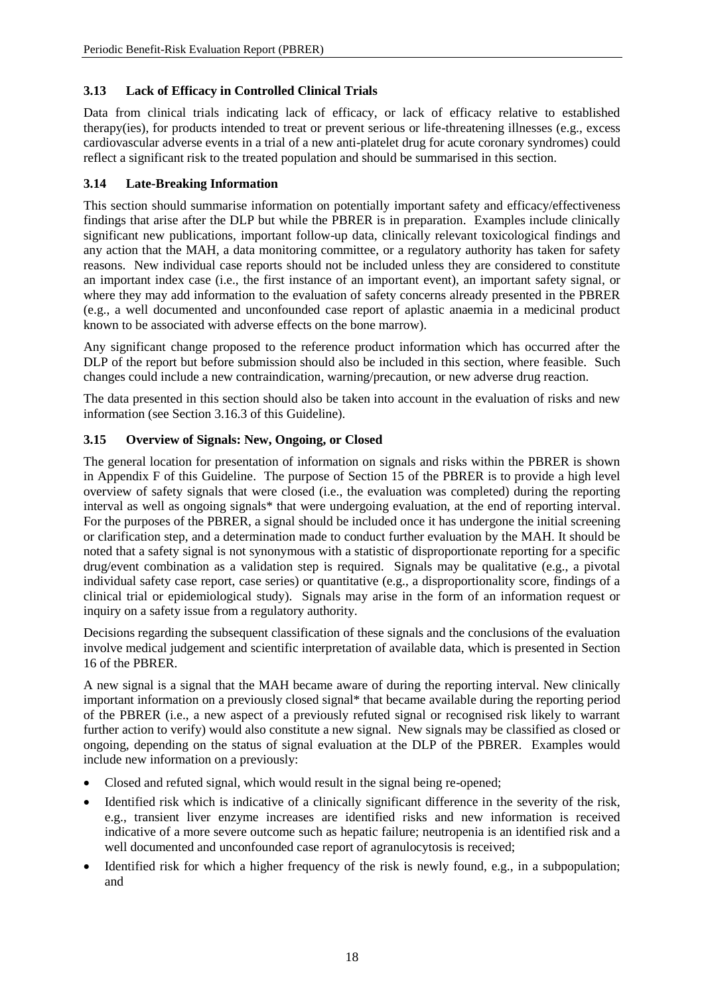# <span id="page-21-0"></span>**3.13 Lack of Efficacy in Controlled Clinical Trials**

Data from clinical trials indicating lack of efficacy, or lack of efficacy relative to established therapy(ies), for products intended to treat or prevent serious or life-threatening illnesses (e.g., excess cardiovascular adverse events in a trial of a new anti-platelet drug for acute coronary syndromes) could reflect a significant risk to the treated population and should be summarised in this section.

# <span id="page-21-1"></span>**3.14 Late-Breaking Information**

This section should summarise information on potentially important safety and efficacy/effectiveness findings that arise after the DLP but while the PBRER is in preparation. Examples include clinically significant new publications, important follow-up data, clinically relevant toxicological findings and any action that the MAH, a data monitoring committee, or a regulatory authority has taken for safety reasons. New individual case reports should not be included unless they are considered to constitute an important index case (i.e., the first instance of an important event), an important safety signal, or where they may add information to the evaluation of safety concerns already presented in the PBRER (e.g., a well documented and unconfounded case report of aplastic anaemia in a medicinal product known to be associated with adverse effects on the bone marrow).

Any significant change proposed to the reference product information which has occurred after the DLP of the report but before submission should also be included in this section, where feasible. Such changes could include a new contraindication, warning/precaution, or new adverse drug reaction.

The data presented in this section should also be taken into account in the evaluation of risks and new information (see Section 3.16.3 of this Guideline).

# <span id="page-21-2"></span>**3.15 Overview of Signals: New, Ongoing, or Closed**

The general location for presentation of information on signals and risks within the PBRER is shown in Appendix F of this Guideline. The purpose of Section 15 of the PBRER is to provide a high level overview of safety signals that were closed (i.e., the evaluation was completed) during the reporting interval as well as ongoing signals\* that were undergoing evaluation, at the end of reporting interval. For the purposes of the PBRER, a signal should be included once it has undergone the initial screening or clarification step, and a determination made to conduct further evaluation by the MAH. It should be noted that a safety signal is not synonymous with a statistic of disproportionate reporting for a specific drug/event combination as a validation step is required. Signals may be qualitative (e.g., a pivotal individual safety case report, case series) or quantitative (e.g., a disproportionality score, findings of a clinical trial or epidemiological study). Signals may arise in the form of an information request or inquiry on a safety issue from a regulatory authority.

Decisions regarding the subsequent classification of these signals and the conclusions of the evaluation involve medical judgement and scientific interpretation of available data, which is presented in Section 16 of the PBRER.

A new signal is a signal that the MAH became aware of during the reporting interval. New clinically important information on a previously closed signal\* that became available during the reporting period of the PBRER (i.e., a new aspect of a previously refuted signal or recognised risk likely to warrant further action to verify) would also constitute a new signal. New signals may be classified as closed or ongoing, depending on the status of signal evaluation at the DLP of the PBRER. Examples would include new information on a previously:

- Closed and refuted signal, which would result in the signal being re-opened;
- Identified risk which is indicative of a clinically significant difference in the severity of the risk, e.g., transient liver enzyme increases are identified risks and new information is received indicative of a more severe outcome such as hepatic failure; neutropenia is an identified risk and a well documented and unconfounded case report of agranulocytosis is received;
- Identified risk for which a higher frequency of the risk is newly found, e.g., in a subpopulation; and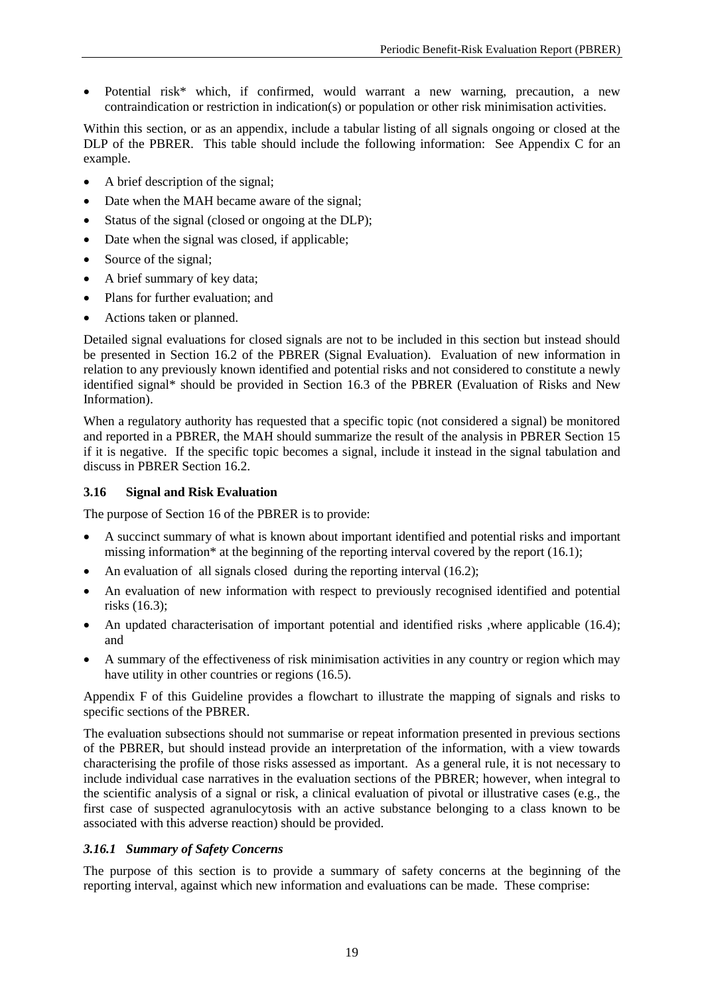Potential risk\* which, if confirmed, would warrant a new warning, precaution, a new contraindication or restriction in indication(s) or population or other risk minimisation activities.

Within this section, or as an appendix, include a tabular listing of all signals ongoing or closed at the DLP of the PBRER. This table should include the following information: See Appendix C for an example.

- A brief description of the signal;
- Date when the MAH became aware of the signal;
- Status of the signal (closed or ongoing at the DLP);
- Date when the signal was closed, if applicable;
- Source of the signal:
- A brief summary of key data;
- Plans for further evaluation; and
- Actions taken or planned.

Detailed signal evaluations for closed signals are not to be included in this section but instead should be presented in Section 16.2 of the PBRER (Signal Evaluation). Evaluation of new information in relation to any previously known identified and potential risks and not considered to constitute a newly identified signal\* should be provided in Section 16.3 of the PBRER (Evaluation of Risks and New Information).

When a regulatory authority has requested that a specific topic (not considered a signal) be monitored and reported in a PBRER, the MAH should summarize the result of the analysis in PBRER Section 15 if it is negative. If the specific topic becomes a signal, include it instead in the signal tabulation and discuss in PBRER Section 16.2.

# <span id="page-22-0"></span>**3.16 Signal and Risk Evaluation**

The purpose of Section 16 of the PBRER is to provide:

- A succinct summary of what is known about important identified and potential risks and important missing information<sup>\*</sup> at the beginning of the reporting interval covered by the report  $(16.1)$ ;
- An evaluation of all signals closed during the reporting interval (16.2);
- An evaluation of new information with respect to previously recognised identified and potential risks (16.3);
- An updated characterisation of important potential and identified risks ,where applicable (16.4); and
- A summary of the effectiveness of risk minimisation activities in any country or region which may have utility in other countries or regions (16.5).

Appendix F of this Guideline provides a flowchart to illustrate the mapping of signals and risks to specific sections of the PBRER.

The evaluation subsections should not summarise or repeat information presented in previous sections of the PBRER, but should instead provide an interpretation of the information, with a view towards characterising the profile of those risks assessed as important. As a general rule, it is not necessary to include individual case narratives in the evaluation sections of the PBRER; however, when integral to the scientific analysis of a signal or risk, a clinical evaluation of pivotal or illustrative cases (e.g., the first case of suspected agranulocytosis with an active substance belonging to a class known to be associated with this adverse reaction) should be provided.

# <span id="page-22-1"></span>*3.16.1 Summary of Safety Concerns*

The purpose of this section is to provide a summary of safety concerns at the beginning of the reporting interval, against which new information and evaluations can be made. These comprise: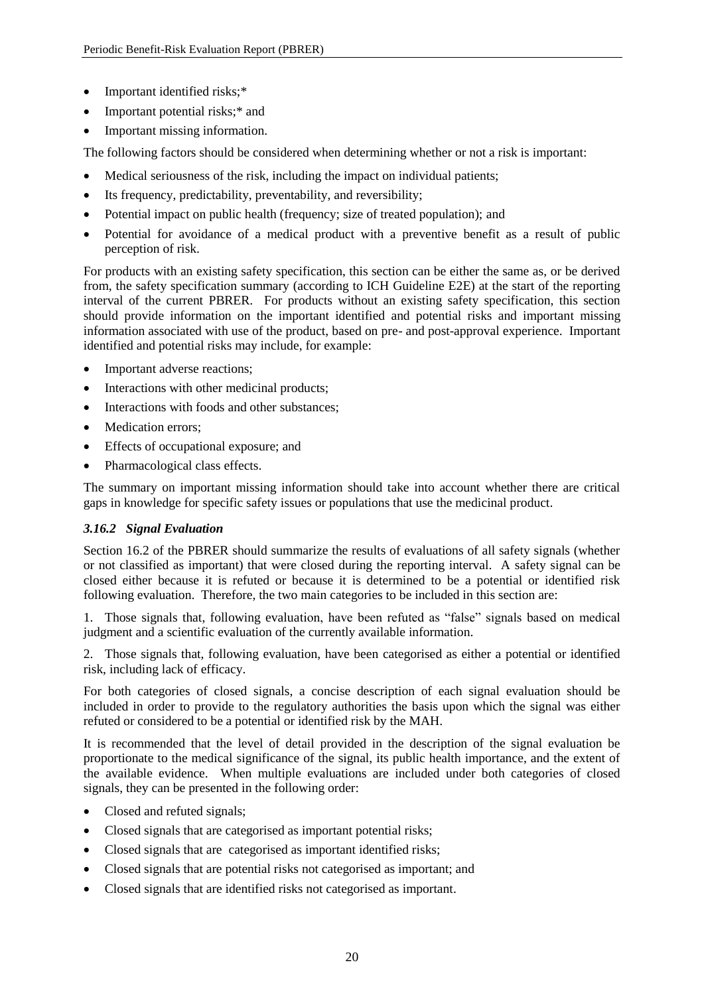- Important identified risks;\*
- Important potential risks;\* and
- Important missing information.

The following factors should be considered when determining whether or not a risk is important:

- Medical seriousness of the risk, including the impact on individual patients;
- Its frequency, predictability, preventability, and reversibility;
- Potential impact on public health (frequency; size of treated population); and
- Potential for avoidance of a medical product with a preventive benefit as a result of public perception of risk.

For products with an existing safety specification, this section can be either the same as, or be derived from, the safety specification summary (according to ICH Guideline E2E) at the start of the reporting interval of the current PBRER. For products without an existing safety specification, this section should provide information on the important identified and potential risks and important missing information associated with use of the product, based on pre- and post-approval experience. Important identified and potential risks may include, for example:

- Important adverse reactions;
- Interactions with other medicinal products;
- Interactions with foods and other substances;
- Medication errors;
- Effects of occupational exposure; and
- Pharmacological class effects.

The summary on important missing information should take into account whether there are critical gaps in knowledge for specific safety issues or populations that use the medicinal product.

# <span id="page-23-0"></span>*3.16.2 Signal Evaluation*

Section 16.2 of the PBRER should summarize the results of evaluations of all safety signals (whether or not classified as important) that were closed during the reporting interval. A safety signal can be closed either because it is refuted or because it is determined to be a potential or identified risk following evaluation. Therefore, the two main categories to be included in this section are:

1. Those signals that, following evaluation, have been refuted as "false" signals based on medical judgment and a scientific evaluation of the currently available information.

2. Those signals that, following evaluation, have been categorised as either a potential or identified risk, including lack of efficacy.

For both categories of closed signals, a concise description of each signal evaluation should be included in order to provide to the regulatory authorities the basis upon which the signal was either refuted or considered to be a potential or identified risk by the MAH.

It is recommended that the level of detail provided in the description of the signal evaluation be proportionate to the medical significance of the signal, its public health importance, and the extent of the available evidence. When multiple evaluations are included under both categories of closed signals, they can be presented in the following order:

- Closed and refuted signals;
- Closed signals that are categorised as important potential risks;
- Closed signals that are categorised as important identified risks;
- Closed signals that are potential risks not categorised as important; and
- Closed signals that are identified risks not categorised as important.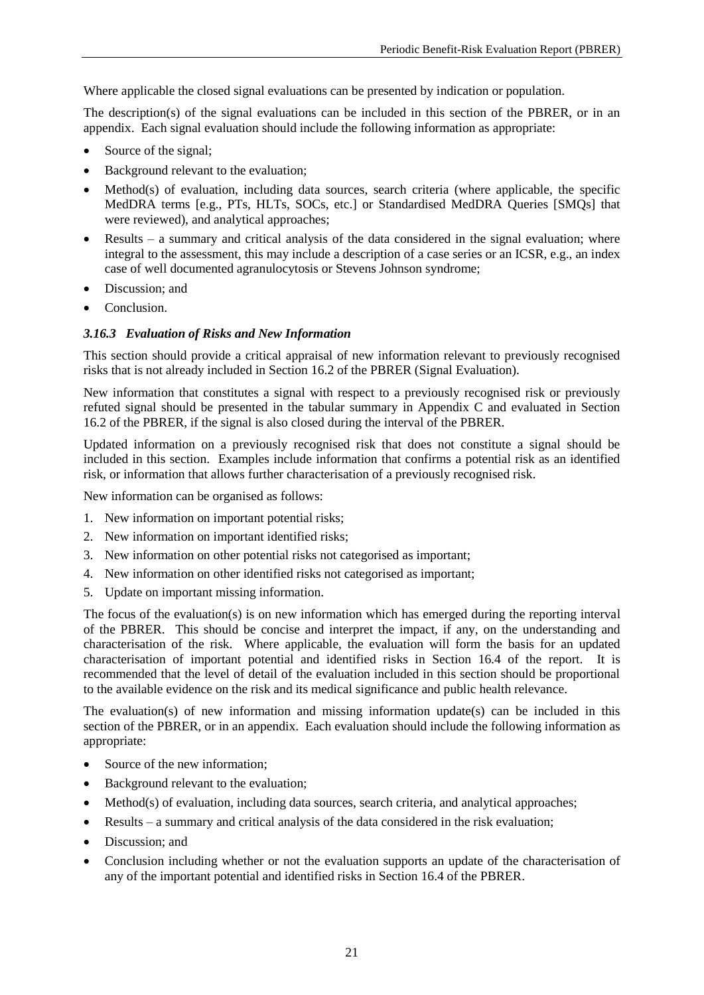Where applicable the closed signal evaluations can be presented by indication or population.

The description(s) of the signal evaluations can be included in this section of the PBRER, or in an appendix. Each signal evaluation should include the following information as appropriate:

- Source of the signal;
- Background relevant to the evaluation;
- Method(s) of evaluation, including data sources, search criteria (where applicable, the specific MedDRA terms [e.g., PTs, HLTs, SOCs, etc.] or Standardised MedDRA Queries [SMQs] that were reviewed), and analytical approaches;
- Results a summary and critical analysis of the data considered in the signal evaluation; where integral to the assessment, this may include a description of a case series or an ICSR, e.g., an index case of well documented agranulocytosis or Stevens Johnson syndrome;
- Discussion; and
- Conclusion.

# <span id="page-24-0"></span>*3.16.3 Evaluation of Risks and New Information*

This section should provide a critical appraisal of new information relevant to previously recognised risks that is not already included in Section 16.2 of the PBRER (Signal Evaluation).

New information that constitutes a signal with respect to a previously recognised risk or previously refuted signal should be presented in the tabular summary in Appendix C and evaluated in Section 16.2 of the PBRER, if the signal is also closed during the interval of the PBRER.

Updated information on a previously recognised risk that does not constitute a signal should be included in this section. Examples include information that confirms a potential risk as an identified risk, or information that allows further characterisation of a previously recognised risk.

New information can be organised as follows:

- 1. New information on important potential risks;
- 2. New information on important identified risks;
- 3. New information on other potential risks not categorised as important;
- 4. New information on other identified risks not categorised as important;
- 5. Update on important missing information.

The focus of the evaluation(s) is on new information which has emerged during the reporting interval of the PBRER. This should be concise and interpret the impact, if any, on the understanding and characterisation of the risk. Where applicable, the evaluation will form the basis for an updated characterisation of important potential and identified risks in Section 16.4 of the report. It is recommended that the level of detail of the evaluation included in this section should be proportional to the available evidence on the risk and its medical significance and public health relevance.

The evaluation(s) of new information and missing information update(s) can be included in this section of the PBRER, or in an appendix. Each evaluation should include the following information as appropriate:

- Source of the new information;
- Background relevant to the evaluation;
- Method(s) of evaluation, including data sources, search criteria, and analytical approaches;
- Results a summary and critical analysis of the data considered in the risk evaluation;
- Discussion; and
- Conclusion including whether or not the evaluation supports an update of the characterisation of any of the important potential and identified risks in Section 16.4 of the PBRER.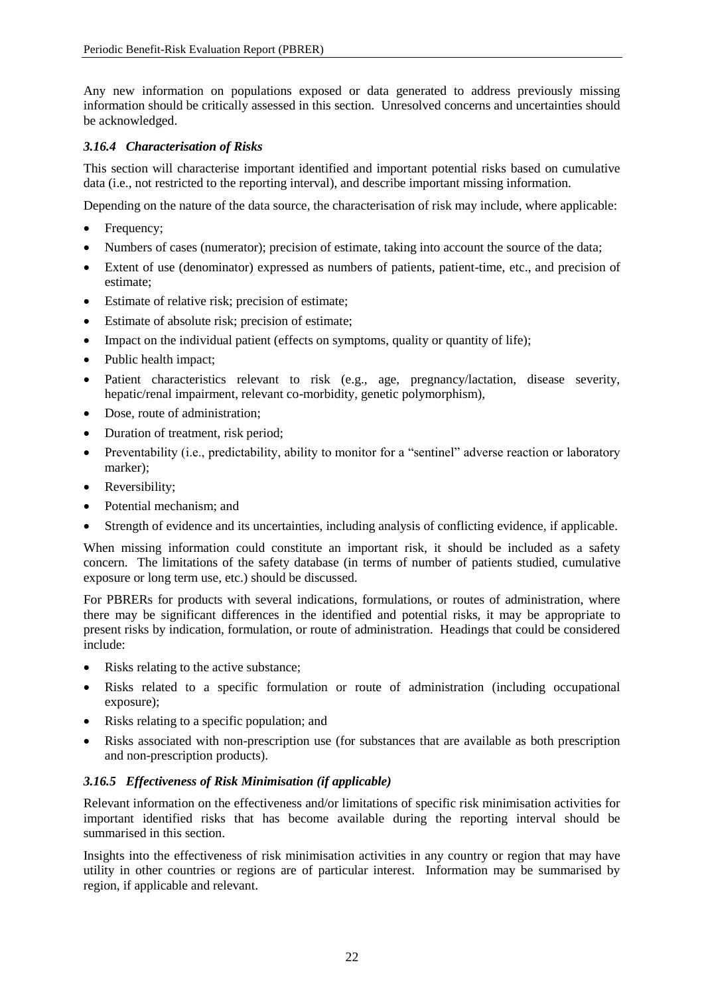Any new information on populations exposed or data generated to address previously missing information should be critically assessed in this section. Unresolved concerns and uncertainties should be acknowledged.

# <span id="page-25-0"></span>*3.16.4 Characterisation of Risks*

This section will characterise important identified and important potential risks based on cumulative data (i.e., not restricted to the reporting interval), and describe important missing information.

Depending on the nature of the data source, the characterisation of risk may include, where applicable:

- Frequency;
- Numbers of cases (numerator); precision of estimate, taking into account the source of the data;
- Extent of use (denominator) expressed as numbers of patients, patient-time, etc., and precision of estimate;
- Estimate of relative risk; precision of estimate;
- Estimate of absolute risk; precision of estimate;
- Impact on the individual patient (effects on symptoms, quality or quantity of life);
- Public health impact;
- Patient characteristics relevant to risk (e.g., age, pregnancy/lactation, disease severity, hepatic/renal impairment, relevant co-morbidity, genetic polymorphism),
- Dose, route of administration;
- Duration of treatment, risk period;
- Preventability (i.e., predictability, ability to monitor for a "sentinel" adverse reaction or laboratory marker);
- Reversibility;
- Potential mechanism: and
- Strength of evidence and its uncertainties, including analysis of conflicting evidence, if applicable.

When missing information could constitute an important risk, it should be included as a safety concern. The limitations of the safety database (in terms of number of patients studied, cumulative exposure or long term use, etc.) should be discussed.

For PBRERs for products with several indications, formulations, or routes of administration, where there may be significant differences in the identified and potential risks, it may be appropriate to present risks by indication, formulation, or route of administration. Headings that could be considered include:

- Risks relating to the active substance;
- Risks related to a specific formulation or route of administration (including occupational exposure);
- Risks relating to a specific population; and
- Risks associated with non-prescription use (for substances that are available as both prescription and non-prescription products).

# <span id="page-25-1"></span>*3.16.5 Effectiveness of Risk Minimisation (if applicable)*

Relevant information on the effectiveness and/or limitations of specific risk minimisation activities for important identified risks that has become available during the reporting interval should be summarised in this section.

Insights into the effectiveness of risk minimisation activities in any country or region that may have utility in other countries or regions are of particular interest. Information may be summarised by region, if applicable and relevant.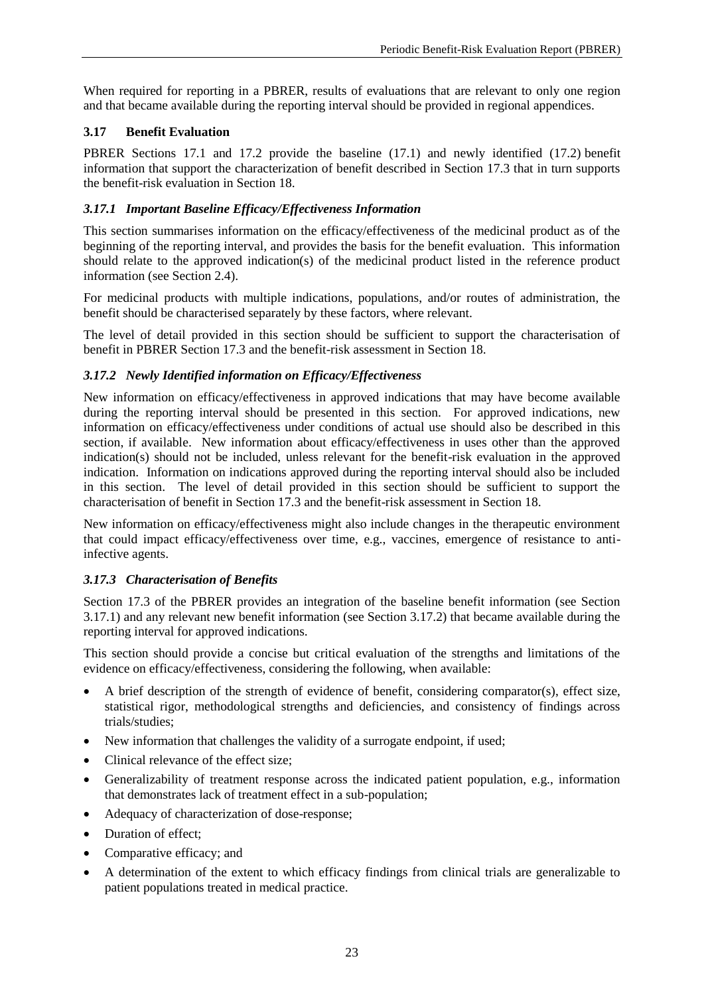When required for reporting in a PBRER, results of evaluations that are relevant to only one region and that became available during the reporting interval should be provided in regional appendices.

# <span id="page-26-0"></span>**3.17 Benefit Evaluation**

PBRER Sections 17.1 and 17.2 provide the baseline (17.1) and newly identified (17.2) benefit information that support the characterization of benefit described in Section 17.3 that in turn supports the benefit-risk evaluation in Section 18.

# <span id="page-26-1"></span>*3.17.1 Important Baseline Efficacy/Effectiveness Information*

This section summarises information on the efficacy/effectiveness of the medicinal product as of the beginning of the reporting interval, and provides the basis for the benefit evaluation. This information should relate to the approved indication(s) of the medicinal product listed in the reference product information (see Section 2.4).

For medicinal products with multiple indications, populations, and/or routes of administration, the benefit should be characterised separately by these factors, where relevant.

The level of detail provided in this section should be sufficient to support the characterisation of benefit in PBRER Section 17.3 and the benefit-risk assessment in Section 18.

# <span id="page-26-2"></span>*3.17.2 Newly Identified information on Efficacy/Effectiveness*

New information on efficacy/effectiveness in approved indications that may have become available during the reporting interval should be presented in this section. For approved indications, new information on efficacy/effectiveness under conditions of actual use should also be described in this section, if available. New information about efficacy/effectiveness in uses other than the approved indication(s) should not be included, unless relevant for the benefit-risk evaluation in the approved indication. Information on indications approved during the reporting interval should also be included in this section. The level of detail provided in this section should be sufficient to support the characterisation of benefit in Section 17.3 and the benefit-risk assessment in Section 18.

New information on efficacy/effectiveness might also include changes in the therapeutic environment that could impact efficacy/effectiveness over time, e.g., vaccines, emergence of resistance to antiinfective agents.

# <span id="page-26-3"></span>*3.17.3 Characterisation of Benefits*

Section 17.3 of the PBRER provides an integration of the baseline benefit information (see Section 3.17.1) and any relevant new benefit information (see Section 3.17.2) that became available during the reporting interval for approved indications.

This section should provide a concise but critical evaluation of the strengths and limitations of the evidence on efficacy/effectiveness, considering the following, when available:

- A brief description of the strength of evidence of benefit, considering comparator(s), effect size, statistical rigor, methodological strengths and deficiencies, and consistency of findings across trials/studies;
- New information that challenges the validity of a surrogate endpoint, if used;
- Clinical relevance of the effect size:
- Generalizability of treatment response across the indicated patient population, e.g., information that demonstrates lack of treatment effect in a sub-population;
- Adequacy of characterization of dose-response;
- Duration of effect;
- Comparative efficacy; and
- A determination of the extent to which efficacy findings from clinical trials are generalizable to patient populations treated in medical practice.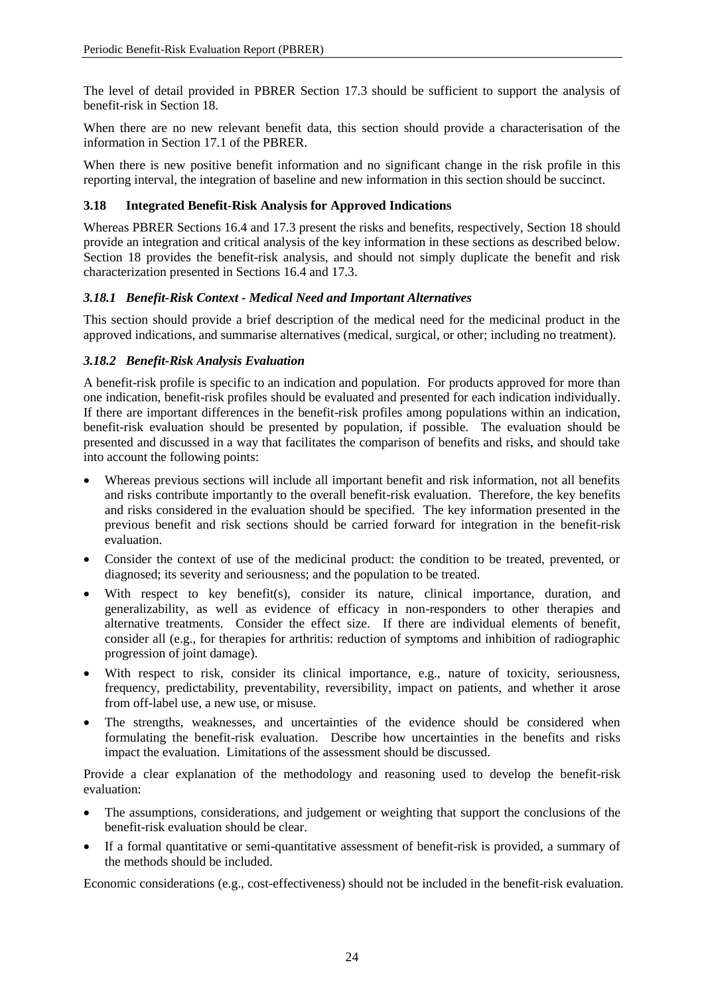The level of detail provided in PBRER Section 17.3 should be sufficient to support the analysis of benefit-risk in Section 18.

When there are no new relevant benefit data, this section should provide a characterisation of the information in Section 17.1 of the PBRER.

When there is new positive benefit information and no significant change in the risk profile in this reporting interval, the integration of baseline and new information in this section should be succinct.

#### <span id="page-27-0"></span>**3.18 Integrated Benefit-Risk Analysis for Approved Indications**

Whereas PBRER Sections 16.4 and 17.3 present the risks and benefits, respectively, Section 18 should provide an integration and critical analysis of the key information in these sections as described below. Section 18 provides the benefit-risk analysis, and should not simply duplicate the benefit and risk characterization presented in Sections 16.4 and 17.3.

#### <span id="page-27-1"></span>*3.18.1 Benefit-Risk Context - Medical Need and Important Alternatives*

This section should provide a brief description of the medical need for the medicinal product in the approved indications, and summarise alternatives (medical, surgical, or other; including no treatment).

#### <span id="page-27-2"></span>*3.18.2 Benefit-Risk Analysis Evaluation*

A benefit-risk profile is specific to an indication and population. For products approved for more than one indication, benefit-risk profiles should be evaluated and presented for each indication individually. If there are important differences in the benefit-risk profiles among populations within an indication, benefit-risk evaluation should be presented by population, if possible. The evaluation should be presented and discussed in a way that facilitates the comparison of benefits and risks, and should take into account the following points:

- Whereas previous sections will include all important benefit and risk information, not all benefits and risks contribute importantly to the overall benefit-risk evaluation. Therefore, the key benefits and risks considered in the evaluation should be specified. The key information presented in the previous benefit and risk sections should be carried forward for integration in the benefit-risk evaluation.
- Consider the context of use of the medicinal product: the condition to be treated, prevented, or diagnosed; its severity and seriousness; and the population to be treated.
- With respect to key benefit(s), consider its nature, clinical importance, duration, and generalizability, as well as evidence of efficacy in non-responders to other therapies and alternative treatments. Consider the effect size. If there are individual elements of benefit, consider all (e.g., for therapies for arthritis: reduction of symptoms and inhibition of radiographic progression of joint damage).
- With respect to risk, consider its clinical importance, e.g., nature of toxicity, seriousness, frequency, predictability, preventability, reversibility, impact on patients, and whether it arose from off-label use, a new use, or misuse.
- The strengths, weaknesses, and uncertainties of the evidence should be considered when formulating the benefit-risk evaluation. Describe how uncertainties in the benefits and risks impact the evaluation. Limitations of the assessment should be discussed.

Provide a clear explanation of the methodology and reasoning used to develop the benefit-risk evaluation:

- The assumptions, considerations, and judgement or weighting that support the conclusions of the benefit-risk evaluation should be clear.
- If a formal quantitative or semi-quantitative assessment of benefit-risk is provided, a summary of the methods should be included.

Economic considerations (e.g., cost-effectiveness) should not be included in the benefit-risk evaluation.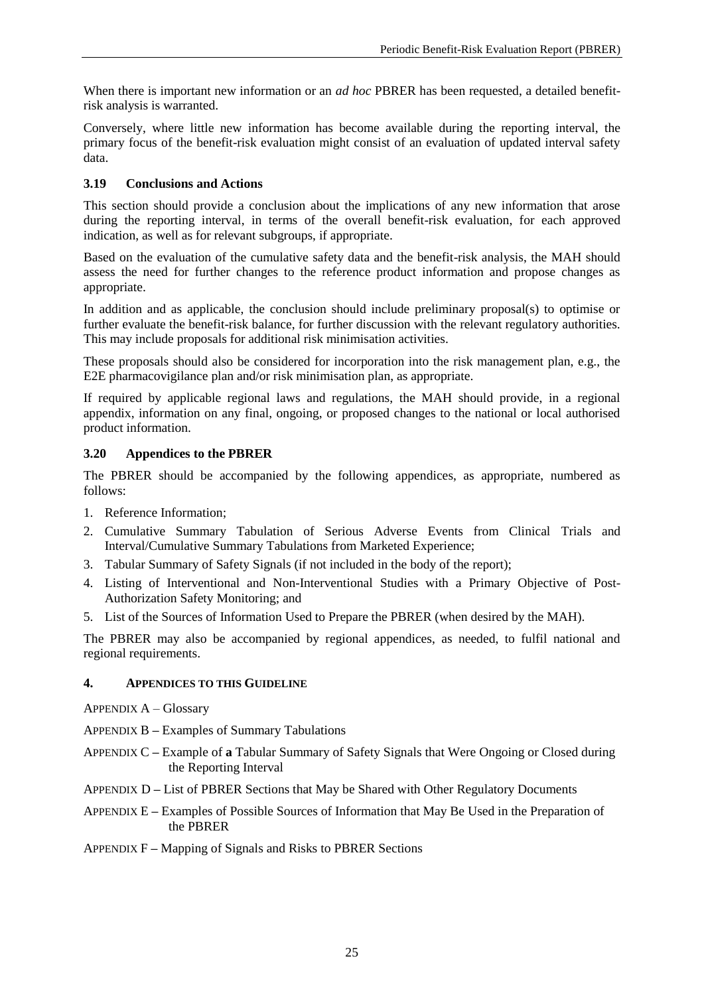When there is important new information or an *ad hoc* PBRER has been requested, a detailed benefitrisk analysis is warranted.

Conversely, where little new information has become available during the reporting interval, the primary focus of the benefit-risk evaluation might consist of an evaluation of updated interval safety data.

# <span id="page-28-0"></span>**3.19 Conclusions and Actions**

This section should provide a conclusion about the implications of any new information that arose during the reporting interval, in terms of the overall benefit-risk evaluation, for each approved indication, as well as for relevant subgroups, if appropriate.

Based on the evaluation of the cumulative safety data and the benefit-risk analysis, the MAH should assess the need for further changes to the reference product information and propose changes as appropriate.

In addition and as applicable, the conclusion should include preliminary proposal(s) to optimise or further evaluate the benefit-risk balance, for further discussion with the relevant regulatory authorities. This may include proposals for additional risk minimisation activities.

These proposals should also be considered for incorporation into the risk management plan, e.g., the E2E pharmacovigilance plan and/or risk minimisation plan, as appropriate.

If required by applicable regional laws and regulations, the MAH should provide, in a regional appendix, information on any final, ongoing, or proposed changes to the national or local authorised product information.

# <span id="page-28-1"></span>**3.20 Appendices to the PBRER**

The PBRER should be accompanied by the following appendices, as appropriate, numbered as follows:

- 1. Reference Information;
- 2. Cumulative Summary Tabulation of Serious Adverse Events from Clinical Trials and Interval/Cumulative Summary Tabulations from Marketed Experience;
- 3. Tabular Summary of Safety Signals (if not included in the body of the report);
- 4. Listing of Interventional and Non-Interventional Studies with a Primary Objective of Post-Authorization Safety Monitoring; and
- 5. List of the Sources of Information Used to Prepare the PBRER (when desired by the MAH).

The PBRER may also be accompanied by regional appendices, as needed, to fulfil national and regional requirements.

# <span id="page-28-2"></span>**4. APPENDICES TO THIS GUIDELINE**

APPENDIX A – Glossary

APPENDIX B **–** Examples of Summary Tabulations

- APPENDIX C **–** Example of **a** Tabular Summary of Safety Signals that Were Ongoing or Closed during the Reporting Interval
- APPENDIX D **–** List of PBRER Sections that May be Shared with Other Regulatory Documents

APPENDIX E **–** Examples of Possible Sources of Information that May Be Used in the Preparation of the PBRER

APPENDIX F **–** Mapping of Signals and Risks to PBRER Sections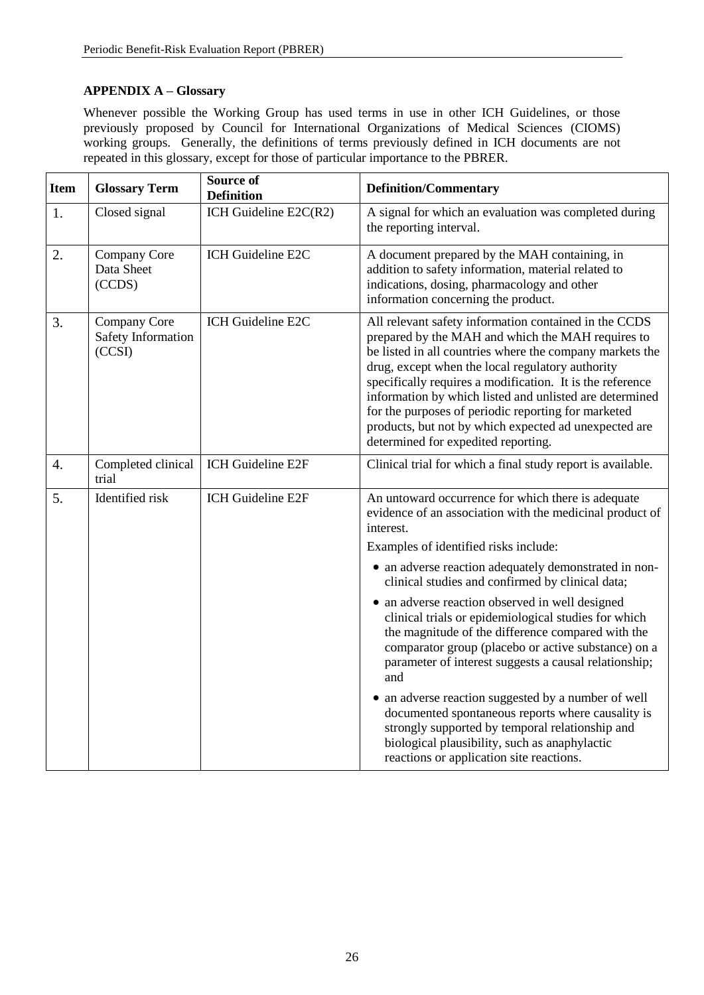# <span id="page-29-0"></span>**APPENDIX A – Glossary**

Whenever possible the Working Group has used terms in use in other ICH Guidelines, or those previously proposed by Council for International Organizations of Medical Sciences (CIOMS) working groups. Generally, the definitions of terms previously defined in ICH documents are not repeated in this glossary, except for those of particular importance to the PBRER.

| <b>Item</b> | <b>Glossary Term</b>                         | <b>Source of</b><br><b>Definition</b> | <b>Definition/Commentary</b>                                                                                                                                                                                                                                                                                                                                                                                                                                                                              |
|-------------|----------------------------------------------|---------------------------------------|-----------------------------------------------------------------------------------------------------------------------------------------------------------------------------------------------------------------------------------------------------------------------------------------------------------------------------------------------------------------------------------------------------------------------------------------------------------------------------------------------------------|
| 1.          | Closed signal                                | ICH Guideline E2C(R2)                 | A signal for which an evaluation was completed during<br>the reporting interval.                                                                                                                                                                                                                                                                                                                                                                                                                          |
| 2.          | Company Core<br>Data Sheet<br>(CCDS)         | ICH Guideline E2C                     | A document prepared by the MAH containing, in<br>addition to safety information, material related to<br>indications, dosing, pharmacology and other<br>information concerning the product.                                                                                                                                                                                                                                                                                                                |
| 3.          | Company Core<br>Safety Information<br>(CCSI) | ICH Guideline E2C                     | All relevant safety information contained in the CCDS<br>prepared by the MAH and which the MAH requires to<br>be listed in all countries where the company markets the<br>drug, except when the local regulatory authority<br>specifically requires a modification. It is the reference<br>information by which listed and unlisted are determined<br>for the purposes of periodic reporting for marketed<br>products, but not by which expected ad unexpected are<br>determined for expedited reporting. |
| 4.          | Completed clinical<br>trial                  | ICH Guideline E2F                     | Clinical trial for which a final study report is available.                                                                                                                                                                                                                                                                                                                                                                                                                                               |
| 5.          | Identified risk                              | ICH Guideline E2F                     | An untoward occurrence for which there is adequate<br>evidence of an association with the medicinal product of<br>interest.                                                                                                                                                                                                                                                                                                                                                                               |
|             |                                              |                                       | Examples of identified risks include:                                                                                                                                                                                                                                                                                                                                                                                                                                                                     |
|             |                                              |                                       | • an adverse reaction adequately demonstrated in non-<br>clinical studies and confirmed by clinical data;                                                                                                                                                                                                                                                                                                                                                                                                 |
|             |                                              |                                       | • an adverse reaction observed in well designed<br>clinical trials or epidemiological studies for which<br>the magnitude of the difference compared with the<br>comparator group (placebo or active substance) on a<br>parameter of interest suggests a causal relationship;<br>and                                                                                                                                                                                                                       |
|             |                                              |                                       | • an adverse reaction suggested by a number of well<br>documented spontaneous reports where causality is<br>strongly supported by temporal relationship and<br>biological plausibility, such as anaphylactic<br>reactions or application site reactions.                                                                                                                                                                                                                                                  |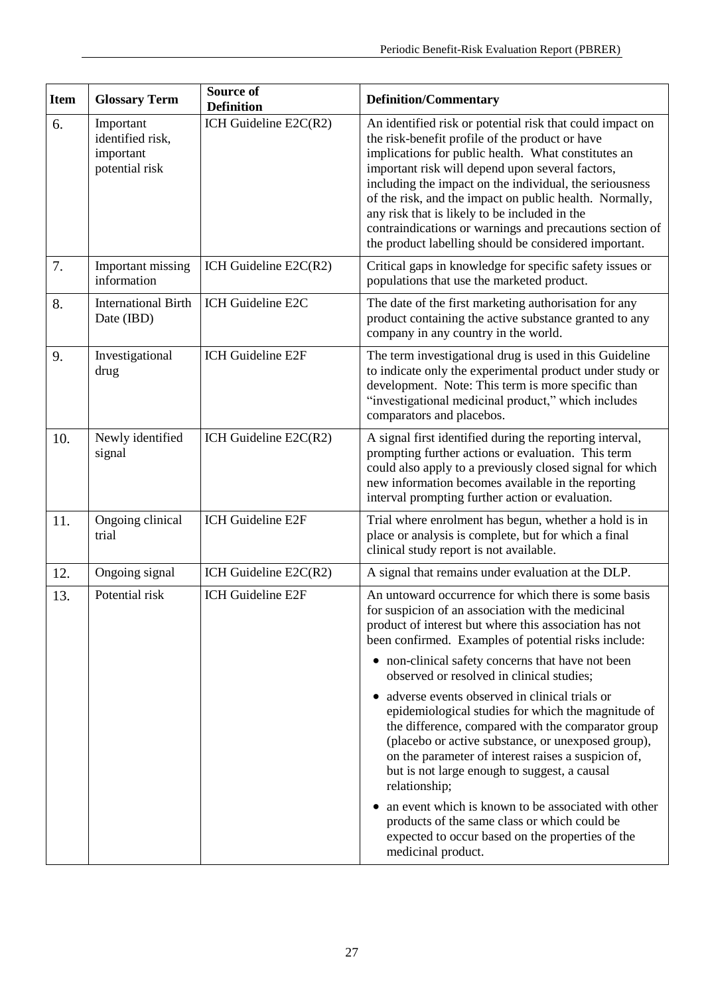| <b>Item</b> | <b>Glossary Term</b>                                         | Source of<br><b>Definition</b> | <b>Definition/Commentary</b>                                                                                                                                                                                                                                                                                                                                                                                                                                                                                        |
|-------------|--------------------------------------------------------------|--------------------------------|---------------------------------------------------------------------------------------------------------------------------------------------------------------------------------------------------------------------------------------------------------------------------------------------------------------------------------------------------------------------------------------------------------------------------------------------------------------------------------------------------------------------|
| 6.          | Important<br>identified risk,<br>important<br>potential risk | ICH Guideline E2C(R2)          | An identified risk or potential risk that could impact on<br>the risk-benefit profile of the product or have<br>implications for public health. What constitutes an<br>important risk will depend upon several factors,<br>including the impact on the individual, the seriousness<br>of the risk, and the impact on public health. Normally,<br>any risk that is likely to be included in the<br>contraindications or warnings and precautions section of<br>the product labelling should be considered important. |
| 7.          | Important missing<br>information                             | ICH Guideline E2C(R2)          | Critical gaps in knowledge for specific safety issues or<br>populations that use the marketed product.                                                                                                                                                                                                                                                                                                                                                                                                              |
| 8.          | <b>International Birth</b><br>Date (IBD)                     | ICH Guideline E2C              | The date of the first marketing authorisation for any<br>product containing the active substance granted to any<br>company in any country in the world.                                                                                                                                                                                                                                                                                                                                                             |
| 9.          | Investigational<br>drug                                      | ICH Guideline E2F              | The term investigational drug is used in this Guideline<br>to indicate only the experimental product under study or<br>development. Note: This term is more specific than<br>"investigational medicinal product," which includes<br>comparators and placebos.                                                                                                                                                                                                                                                       |
| 10.         | Newly identified<br>signal                                   | ICH Guideline E2C(R2)          | A signal first identified during the reporting interval,<br>prompting further actions or evaluation. This term<br>could also apply to a previously closed signal for which<br>new information becomes available in the reporting<br>interval prompting further action or evaluation.                                                                                                                                                                                                                                |
| 11.         | Ongoing clinical<br>trial                                    | ICH Guideline E2F              | Trial where enrolment has begun, whether a hold is in<br>place or analysis is complete, but for which a final<br>clinical study report is not available.                                                                                                                                                                                                                                                                                                                                                            |
| 12.         | Ongoing signal                                               | ICH Guideline E2C(R2)          | A signal that remains under evaluation at the DLP.                                                                                                                                                                                                                                                                                                                                                                                                                                                                  |
| 13.         | Potential risk                                               | ICH Guideline E2F              | An untoward occurrence for which there is some basis<br>for suspicion of an association with the medicinal<br>product of interest but where this association has not<br>been confirmed. Examples of potential risks include:<br>• non-clinical safety concerns that have not been<br>observed or resolved in clinical studies;                                                                                                                                                                                      |
|             |                                                              |                                | adverse events observed in clinical trials or<br>epidemiological studies for which the magnitude of<br>the difference, compared with the comparator group<br>(placebo or active substance, or unexposed group),<br>on the parameter of interest raises a suspicion of,<br>but is not large enough to suggest, a causal<br>relationship;                                                                                                                                                                             |
|             |                                                              |                                | an event which is known to be associated with other<br>products of the same class or which could be<br>expected to occur based on the properties of the<br>medicinal product.                                                                                                                                                                                                                                                                                                                                       |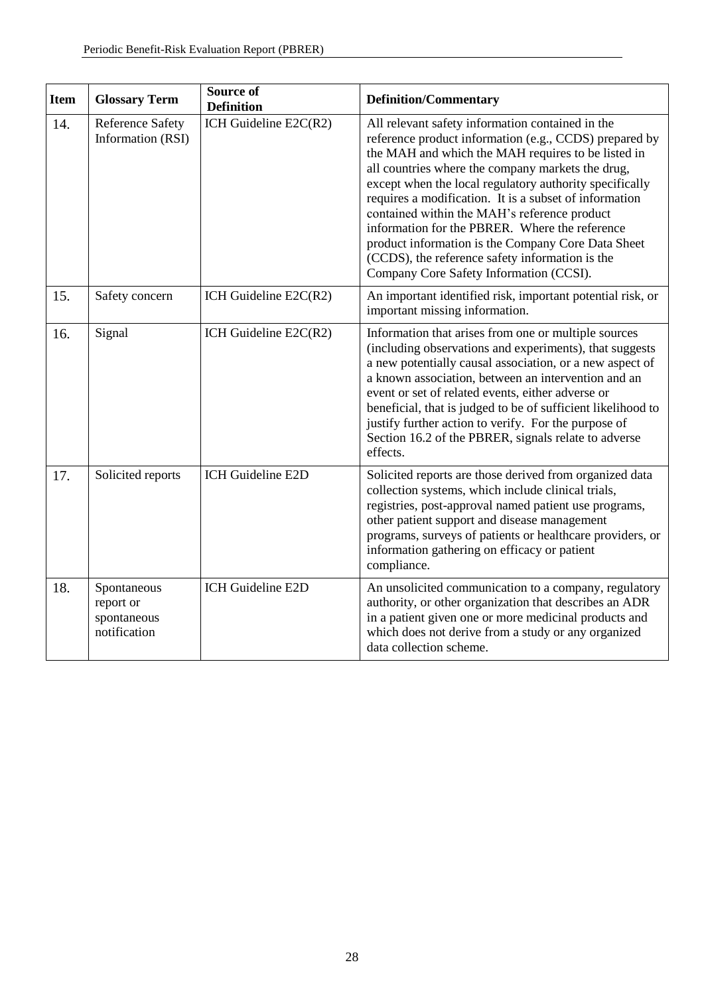| <b>Item</b> | <b>Glossary Term</b>                                    | <b>Source of</b><br><b>Definition</b> | <b>Definition/Commentary</b>                                                                                                                                                                                                                                                                                                                                                                                                                                                                                                                                                                     |
|-------------|---------------------------------------------------------|---------------------------------------|--------------------------------------------------------------------------------------------------------------------------------------------------------------------------------------------------------------------------------------------------------------------------------------------------------------------------------------------------------------------------------------------------------------------------------------------------------------------------------------------------------------------------------------------------------------------------------------------------|
| 14.         | <b>Reference Safety</b><br>Information (RSI)            | ICH Guideline E2C(R2)                 | All relevant safety information contained in the<br>reference product information (e.g., CCDS) prepared by<br>the MAH and which the MAH requires to be listed in<br>all countries where the company markets the drug,<br>except when the local regulatory authority specifically<br>requires a modification. It is a subset of information<br>contained within the MAH's reference product<br>information for the PBRER. Where the reference<br>product information is the Company Core Data Sheet<br>(CCDS), the reference safety information is the<br>Company Core Safety Information (CCSI). |
| 15.         | Safety concern                                          | ICH Guideline E2C(R2)                 | An important identified risk, important potential risk, or<br>important missing information.                                                                                                                                                                                                                                                                                                                                                                                                                                                                                                     |
| 16.         | Signal                                                  | ICH Guideline E2C(R2)                 | Information that arises from one or multiple sources<br>(including observations and experiments), that suggests<br>a new potentially causal association, or a new aspect of<br>a known association, between an intervention and an<br>event or set of related events, either adverse or<br>beneficial, that is judged to be of sufficient likelihood to<br>justify further action to verify. For the purpose of<br>Section 16.2 of the PBRER, signals relate to adverse<br>effects.                                                                                                              |
| 17.         | Solicited reports                                       | ICH Guideline E2D                     | Solicited reports are those derived from organized data<br>collection systems, which include clinical trials,<br>registries, post-approval named patient use programs,<br>other patient support and disease management<br>programs, surveys of patients or healthcare providers, or<br>information gathering on efficacy or patient<br>compliance.                                                                                                                                                                                                                                               |
| 18.         | Spontaneous<br>report or<br>spontaneous<br>notification | ICH Guideline E2D                     | An unsolicited communication to a company, regulatory<br>authority, or other organization that describes an ADR<br>in a patient given one or more medicinal products and<br>which does not derive from a study or any organized<br>data collection scheme.                                                                                                                                                                                                                                                                                                                                       |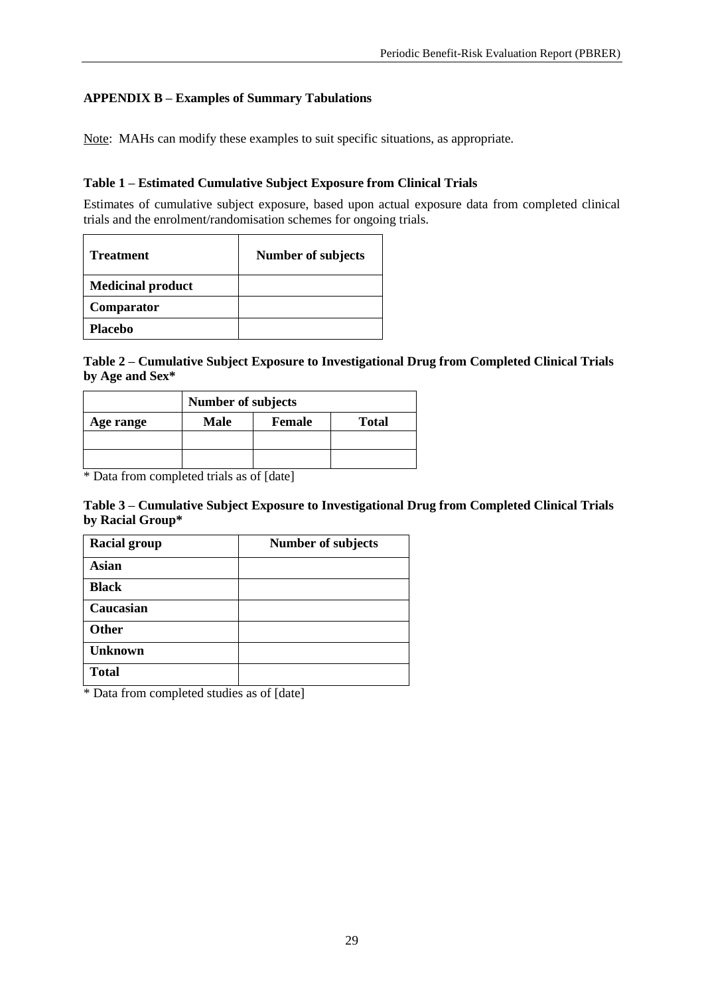# <span id="page-32-0"></span>**APPENDIX B – Examples of Summary Tabulations**

Note: MAHs can modify these examples to suit specific situations, as appropriate.

# **Table 1 – Estimated Cumulative Subject Exposure from Clinical Trials**

Estimates of cumulative subject exposure, based upon actual exposure data from completed clinical trials and the enrolment/randomisation schemes for ongoing trials.

| <b>Treatment</b>         | <b>Number of subjects</b> |
|--------------------------|---------------------------|
| <b>Medicinal product</b> |                           |
| Comparator               |                           |
| <b>Placebo</b>           |                           |

# **Table 2 – Cumulative Subject Exposure to Investigational Drug from Completed Clinical Trials by Age and Sex\***

| Number of subjects |             |               |              |
|--------------------|-------------|---------------|--------------|
| Age range          | <b>Male</b> | <b>Female</b> | <b>Total</b> |
|                    |             |               |              |
|                    |             |               |              |

\* Data from completed trials as of [date]

#### **Table 3 – Cumulative Subject Exposure to Investigational Drug from Completed Clinical Trials by Racial Group\***

| <b>Racial group</b> | <b>Number of subjects</b> |
|---------------------|---------------------------|
| <b>Asian</b>        |                           |
| <b>Black</b>        |                           |
| Caucasian           |                           |
| <b>Other</b>        |                           |
| <b>Unknown</b>      |                           |
| <b>Total</b>        |                           |

\* Data from completed studies as of [date]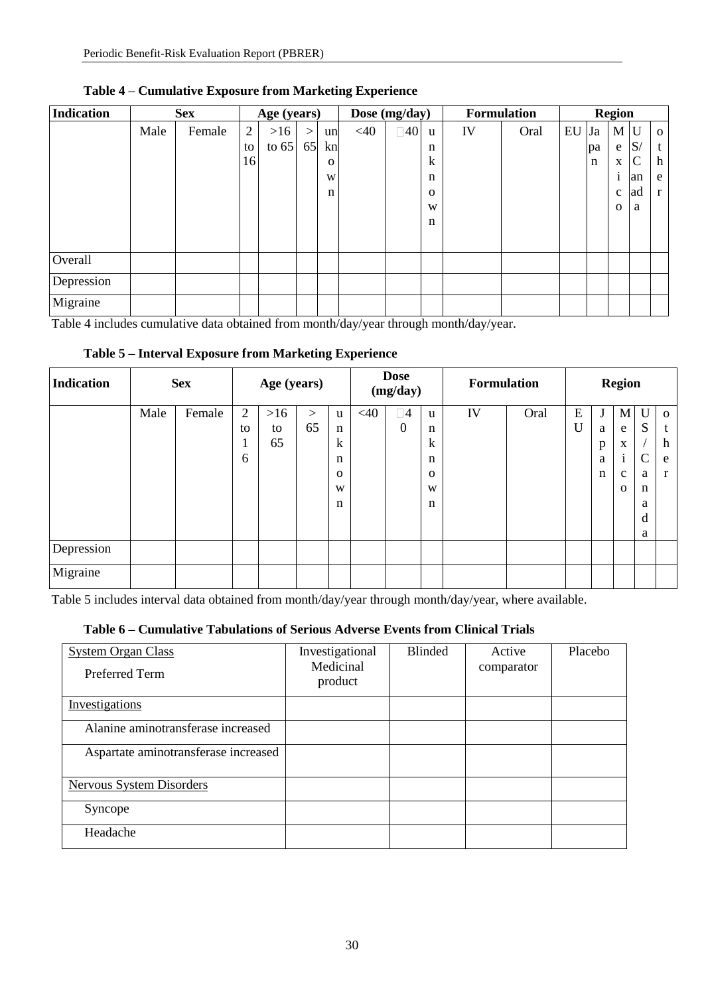| <b>Indication</b> | <b>Sex</b> |        | Age (years) |         |        | Dose (mg/day) |        | <b>Formulation</b> |              | <b>Region</b> |      |    |             |              |    |              |
|-------------------|------------|--------|-------------|---------|--------|---------------|--------|--------------------|--------------|---------------|------|----|-------------|--------------|----|--------------|
|                   | Male       | Female | 2           | >16     | $\geq$ | un            | $<$ 40 | $\square$ 40       | u            | IV            | Oral | EU | Ja          | $M$ U        |    | $\mathbf{o}$ |
|                   |            |        | to          | to $65$ | 65     | kn            |        |                    | n            |               |      |    | pa          | e            | S/ | t            |
|                   |            |        | 16          |         |        | $\mathbf 0$   |        |                    | $\mathbf k$  |               |      |    | $\mathbf n$ | X            | C  | h            |
|                   |            |        |             |         |        | W             |        |                    | n            |               |      |    |             | $\mathbf{1}$ | an | e            |
|                   |            |        |             |         |        | n             |        |                    | $\mathbf{O}$ |               |      |    |             | $\mathbf{c}$ | ad | $\mathbf{r}$ |
|                   |            |        |             |         |        |               |        |                    | W            |               |      |    |             | $\Omega$     | a  |              |
|                   |            |        |             |         |        |               |        |                    | $\mathbf n$  |               |      |    |             |              |    |              |
|                   |            |        |             |         |        |               |        |                    |              |               |      |    |             |              |    |              |
| Overall           |            |        |             |         |        |               |        |                    |              |               |      |    |             |              |    |              |
| Depression        |            |        |             |         |        |               |        |                    |              |               |      |    |             |              |    |              |
| Migraine          |            |        |             |         |        |               |        |                    |              |               |      |    |             |              |    |              |

# **Table 4 – Cumulative Exposure from Marketing Experience**

Table 4 includes cumulative data obtained from month/day/year through month/day/year.

| <b>Indication</b> | <b>Sex</b> |        | Age (years)    |       |          | <b>Dose</b><br>(mg/day) |        | <b>Formulation</b> |             | <b>Region</b> |      |   |              |                   |             |              |
|-------------------|------------|--------|----------------|-------|----------|-------------------------|--------|--------------------|-------------|---------------|------|---|--------------|-------------------|-------------|--------------|
|                   | Male       | Female | $\overline{2}$ | $>16$ | $\rm{>}$ | u                       | $<$ 40 | $\square 4$        | u           | IV            | Oral | E | J            | M                 | $\mathbf U$ | $\Omega$     |
|                   |            |        | to             | to    | 65       | n                       |        | $\mathbf{0}$       | n           |               |      | U | a            | e                 | S           | t            |
|                   |            |        | $\mathbf{I}$   | 65    |          | $\mathbf{k}$            |        |                    | $\mathbf k$ |               |      |   | $\mathbf{p}$ | $\mathbf X$       |             | h            |
|                   |            |        | 6              |       |          | n                       |        |                    | n           |               |      |   | a            | ٠<br>$\mathbf{1}$ | C           | e            |
|                   |            |        |                |       |          | $\Omega$                |        |                    | $\Omega$    |               |      |   | n            | $\mathbf c$       | a           | $\mathbf{r}$ |
|                   |            |        |                |       |          | W                       |        |                    | W           |               |      |   |              | $\Omega$          | n           |              |
|                   |            |        |                |       |          | n                       |        |                    | n           |               |      |   |              |                   | a           |              |
|                   |            |        |                |       |          |                         |        |                    |             |               |      |   |              |                   | d           |              |
|                   |            |        |                |       |          |                         |        |                    |             |               |      |   |              |                   | a           |              |
| Depression        |            |        |                |       |          |                         |        |                    |             |               |      |   |              |                   |             |              |
| Migraine          |            |        |                |       |          |                         |        |                    |             |               |      |   |              |                   |             |              |

# **Table 5 – Interval Exposure from Marketing Experience**

Table 5 includes interval data obtained from month/day/year through month/day/year, where available.

# **Table 6 – Cumulative Tabulations of Serious Adverse Events from Clinical Trials**

| <b>System Organ Class</b><br>Preferred Term | Investigational<br>Medicinal<br>product | <b>Blinded</b> | Active<br>comparator | Placebo |
|---------------------------------------------|-----------------------------------------|----------------|----------------------|---------|
| Investigations                              |                                         |                |                      |         |
| Alanine aminotransferase increased          |                                         |                |                      |         |
| Aspartate aminotransferase increased        |                                         |                |                      |         |
| Nervous System Disorders                    |                                         |                |                      |         |
| Syncope                                     |                                         |                |                      |         |
| Headache                                    |                                         |                |                      |         |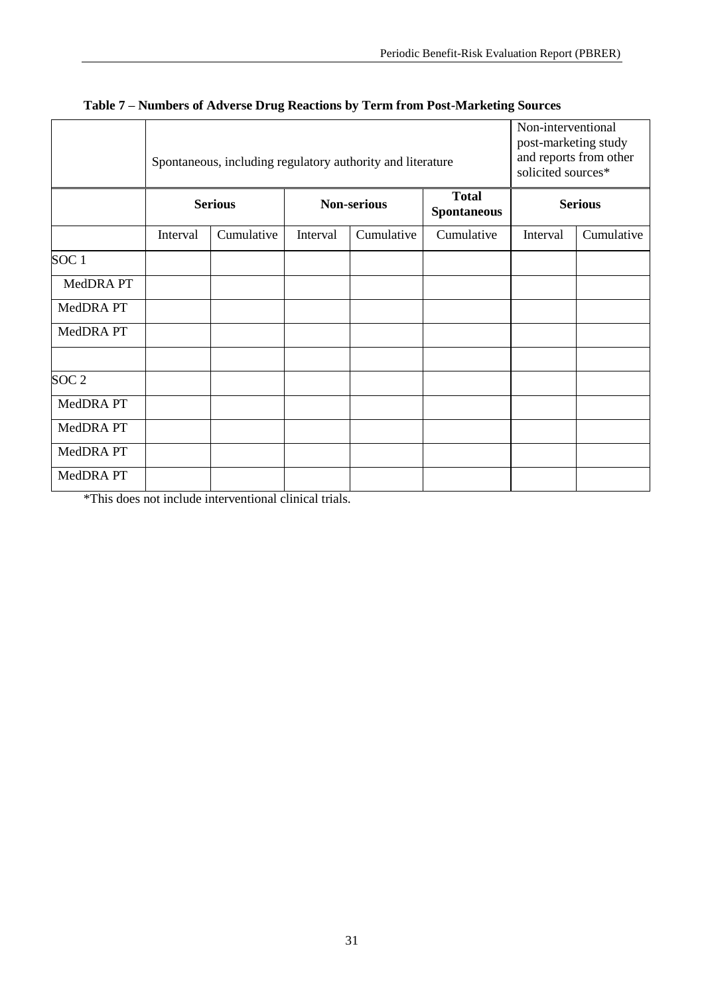|                  |          | Spontaneous, including regulatory authority and literature | Non-interventional<br>post-marketing study<br>and reports from other<br>solicited sources* |                    |                                    |                |            |  |  |
|------------------|----------|------------------------------------------------------------|--------------------------------------------------------------------------------------------|--------------------|------------------------------------|----------------|------------|--|--|
|                  |          | <b>Serious</b>                                             |                                                                                            | <b>Non-serious</b> | <b>Total</b><br><b>Spontaneous</b> | <b>Serious</b> |            |  |  |
|                  | Interval | Cumulative                                                 | Interval                                                                                   | Cumulative         | Cumulative                         | Interval       | Cumulative |  |  |
| SOC1             |          |                                                            |                                                                                            |                    |                                    |                |            |  |  |
| MedDRA PT        |          |                                                            |                                                                                            |                    |                                    |                |            |  |  |
| MedDRA PT        |          |                                                            |                                                                                            |                    |                                    |                |            |  |  |
| MedDRA PT        |          |                                                            |                                                                                            |                    |                                    |                |            |  |  |
| SOC <sub>2</sub> |          |                                                            |                                                                                            |                    |                                    |                |            |  |  |
| MedDRA PT        |          |                                                            |                                                                                            |                    |                                    |                |            |  |  |
| MedDRA PT        |          |                                                            |                                                                                            |                    |                                    |                |            |  |  |
| MedDRA PT        |          |                                                            |                                                                                            |                    |                                    |                |            |  |  |
| MedDRA PT        |          |                                                            |                                                                                            |                    |                                    |                |            |  |  |

# **Table 7 – Numbers of Adverse Drug Reactions by Term from Post-Marketing Sources**

\*This does not include interventional clinical trials.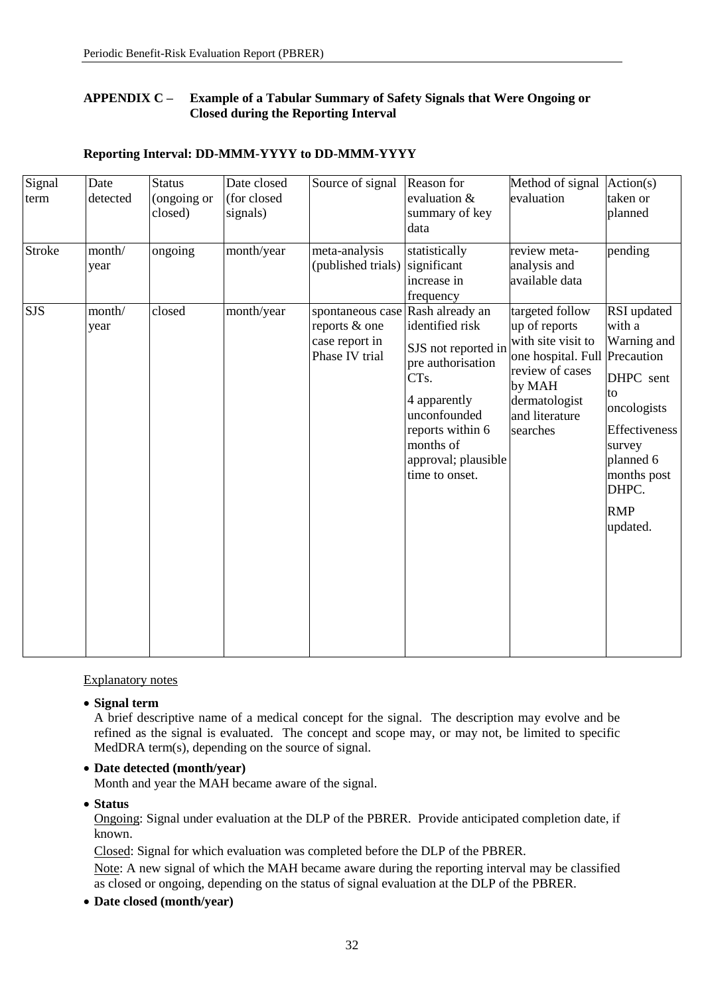# <span id="page-35-0"></span>**APPENDIX C – Example of a Tabular Summary of Safety Signals that Were Ongoing or Closed during the Reporting Interval**

| Signal<br>term<br><b>Stroke</b> | Date<br>detected<br>month/<br>year | <b>Status</b><br>(ongoing or<br>closed)<br>ongoing | Date closed<br>(for closed<br>signals)<br>month/year | Source of signal<br>meta-analysis<br>(published trials)                               | Reason for<br>evaluation &<br>summary of key<br>data<br>statistically<br>significant<br>increase in                                                                                                     | Method of signal<br>evaluation<br>review meta-<br>analysis and<br>available data                                                                                    | Action(s)<br>taken or<br>planned<br>pending                                                                                                                             |
|---------------------------------|------------------------------------|----------------------------------------------------|------------------------------------------------------|---------------------------------------------------------------------------------------|---------------------------------------------------------------------------------------------------------------------------------------------------------------------------------------------------------|---------------------------------------------------------------------------------------------------------------------------------------------------------------------|-------------------------------------------------------------------------------------------------------------------------------------------------------------------------|
| <b>SJS</b>                      | month/<br>year                     | closed                                             | month/year                                           | spontaneous case Rash already an<br>reports & one<br>case report in<br>Phase IV trial | frequency<br>identified risk<br>SJS not reported in<br>pre authorisation<br>CT <sub>s</sub> .<br>4 apparently<br>unconfounded<br>reports within 6<br>months of<br>approval; plausible<br>time to onset. | targeted follow<br>up of reports<br>with site visit to<br>one hospital. Full Precaution<br>review of cases<br>by MAH<br>dermatologist<br>and literature<br>searches | RSI updated<br>with a<br>Warning and<br>DHPC sent<br>to<br>oncologists<br><b>Effectiveness</b><br>survey<br>planned 6<br>months post<br>DHPC.<br><b>RMP</b><br>updated. |

# **Reporting Interval: DD-MMM-YYYY to DD-MMM-YYYY**

Explanatory notes

**Signal term**

A brief descriptive name of a medical concept for the signal. The description may evolve and be refined as the signal is evaluated. The concept and scope may, or may not, be limited to specific MedDRA term(s), depending on the source of signal.

**Date detected (month/year)**

Month and year the MAH became aware of the signal.

**Status**

Ongoing: Signal under evaluation at the DLP of the PBRER. Provide anticipated completion date, if known.

Closed: Signal for which evaluation was completed before the DLP of the PBRER.

Note: A new signal of which the MAH became aware during the reporting interval may be classified as closed or ongoing, depending on the status of signal evaluation at the DLP of the PBRER.

**Date closed (month/year)**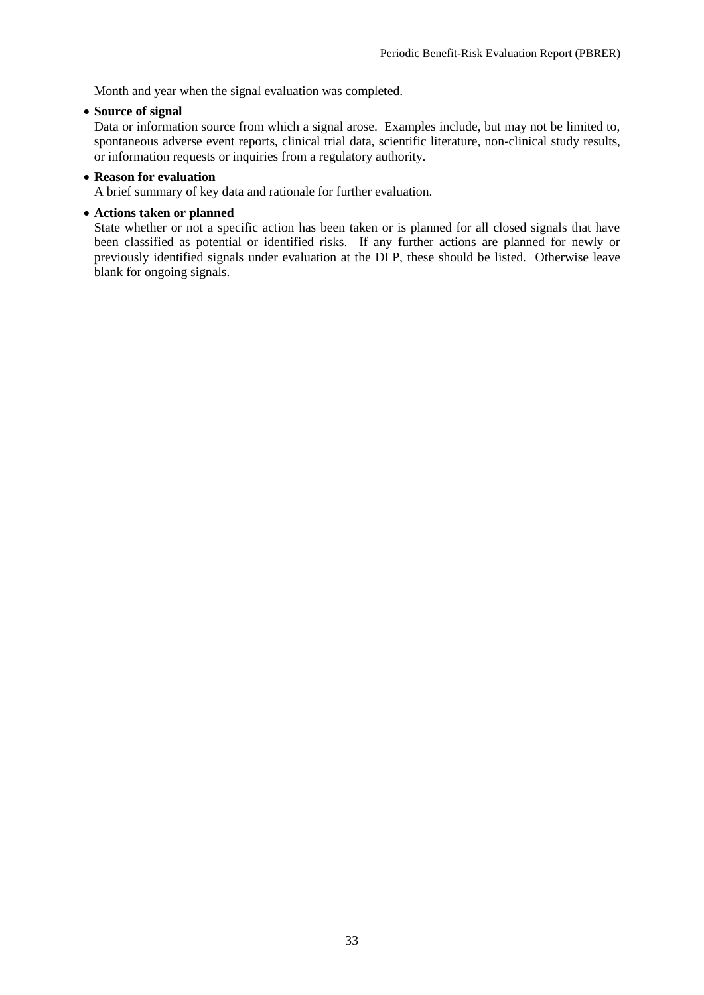Month and year when the signal evaluation was completed.

**Source of signal**

Data or information source from which a signal arose. Examples include, but may not be limited to, spontaneous adverse event reports, clinical trial data, scientific literature, non-clinical study results, or information requests or inquiries from a regulatory authority.

#### **Reason for evaluation**

A brief summary of key data and rationale for further evaluation.

#### **Actions taken or planned**

State whether or not a specific action has been taken or is planned for all closed signals that have been classified as potential or identified risks. If any further actions are planned for newly or previously identified signals under evaluation at the DLP, these should be listed. Otherwise leave blank for ongoing signals.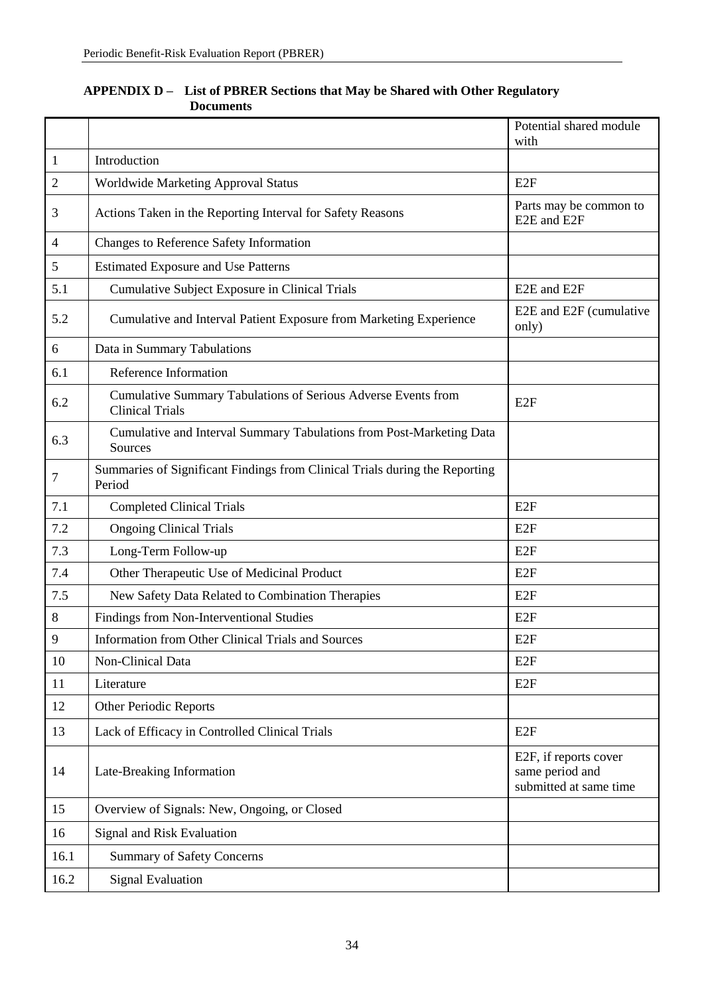|                |                                                                                         | Potential shared module<br>with                                    |
|----------------|-----------------------------------------------------------------------------------------|--------------------------------------------------------------------|
| $\mathbf{1}$   | Introduction                                                                            |                                                                    |
| $\overline{2}$ | Worldwide Marketing Approval Status                                                     | E <sub>2F</sub>                                                    |
| 3              | Actions Taken in the Reporting Interval for Safety Reasons                              | Parts may be common to<br>E2E and E2F                              |
| $\overline{4}$ | Changes to Reference Safety Information                                                 |                                                                    |
| 5              | <b>Estimated Exposure and Use Patterns</b>                                              |                                                                    |
| 5.1            | Cumulative Subject Exposure in Clinical Trials                                          | E2E and E2F                                                        |
| 5.2            | Cumulative and Interval Patient Exposure from Marketing Experience                      | E2E and E2F (cumulative<br>only)                                   |
| 6              | Data in Summary Tabulations                                                             |                                                                    |
| 6.1            | Reference Information                                                                   |                                                                    |
| 6.2            | Cumulative Summary Tabulations of Serious Adverse Events from<br><b>Clinical Trials</b> | E <sub>2F</sub>                                                    |
| 6.3            | Cumulative and Interval Summary Tabulations from Post-Marketing Data<br>Sources         |                                                                    |
| $\overline{7}$ | Summaries of Significant Findings from Clinical Trials during the Reporting<br>Period   |                                                                    |
| 7.1            | <b>Completed Clinical Trials</b>                                                        | E2F                                                                |
| 7.2            | <b>Ongoing Clinical Trials</b>                                                          | E2F                                                                |
| 7.3            | Long-Term Follow-up                                                                     | E <sub>2F</sub>                                                    |
| 7.4            | Other Therapeutic Use of Medicinal Product                                              | E <sub>2F</sub>                                                    |
| 7.5            | New Safety Data Related to Combination Therapies                                        | E2F                                                                |
| 8              | Findings from Non-Interventional Studies                                                | E2F                                                                |
| 9              | Information from Other Clinical Trials and Sources                                      | E <sub>2F</sub>                                                    |
| 10             | Non-Clinical Data                                                                       | E <sub>2F</sub>                                                    |
| 11             | Literature                                                                              | E <sub>2F</sub>                                                    |
| 12             | <b>Other Periodic Reports</b>                                                           |                                                                    |
| 13             | Lack of Efficacy in Controlled Clinical Trials                                          | E <sub>2F</sub>                                                    |
| 14             | Late-Breaking Information                                                               | E2F, if reports cover<br>same period and<br>submitted at same time |
| 15             | Overview of Signals: New, Ongoing, or Closed                                            |                                                                    |
| 16             | Signal and Risk Evaluation                                                              |                                                                    |
| 16.1           | <b>Summary of Safety Concerns</b>                                                       |                                                                    |
| 16.2           | <b>Signal Evaluation</b>                                                                |                                                                    |

# <span id="page-37-0"></span>**APPENDIX D – List of PBRER Sections that May be Shared with Other Regulatory Documents**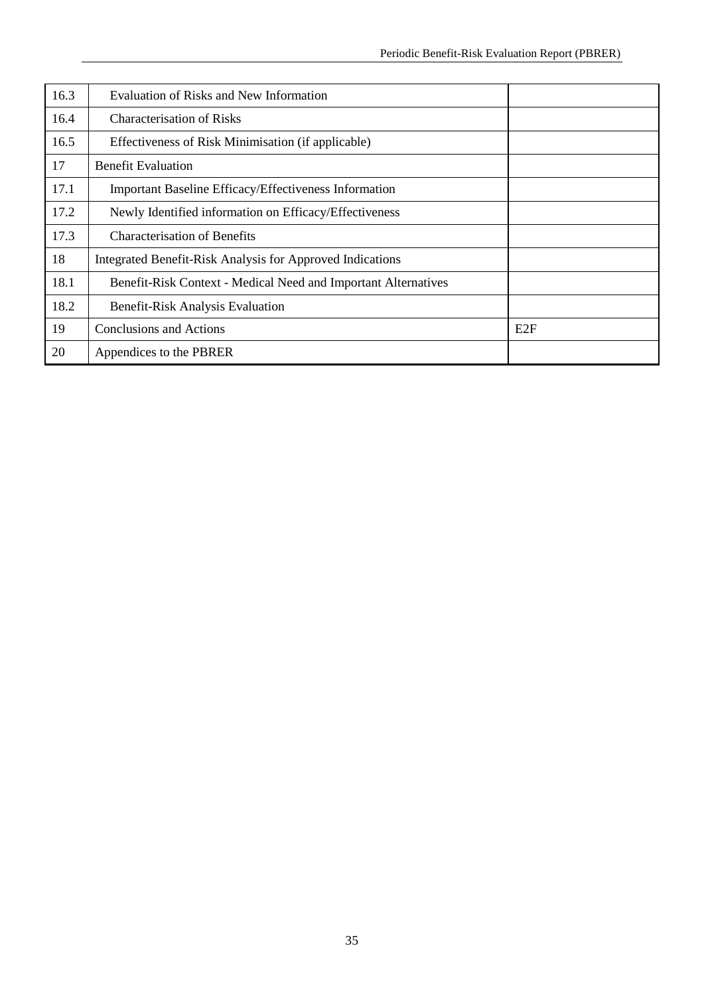| 16.3 | Evaluation of Risks and New Information                        |     |
|------|----------------------------------------------------------------|-----|
| 16.4 | <b>Characterisation of Risks</b>                               |     |
| 16.5 | Effectiveness of Risk Minimisation (if applicable)             |     |
| 17   | <b>Benefit Evaluation</b>                                      |     |
| 17.1 | Important Baseline Efficacy/Effectiveness Information          |     |
| 17.2 | Newly Identified information on Efficacy/Effectiveness         |     |
| 17.3 | <b>Characterisation of Benefits</b>                            |     |
| 18   | Integrated Benefit-Risk Analysis for Approved Indications      |     |
| 18.1 | Benefit-Risk Context - Medical Need and Important Alternatives |     |
| 18.2 | Benefit-Risk Analysis Evaluation                               |     |
| 19   | Conclusions and Actions                                        | E2F |
| 20   | Appendices to the PBRER                                        |     |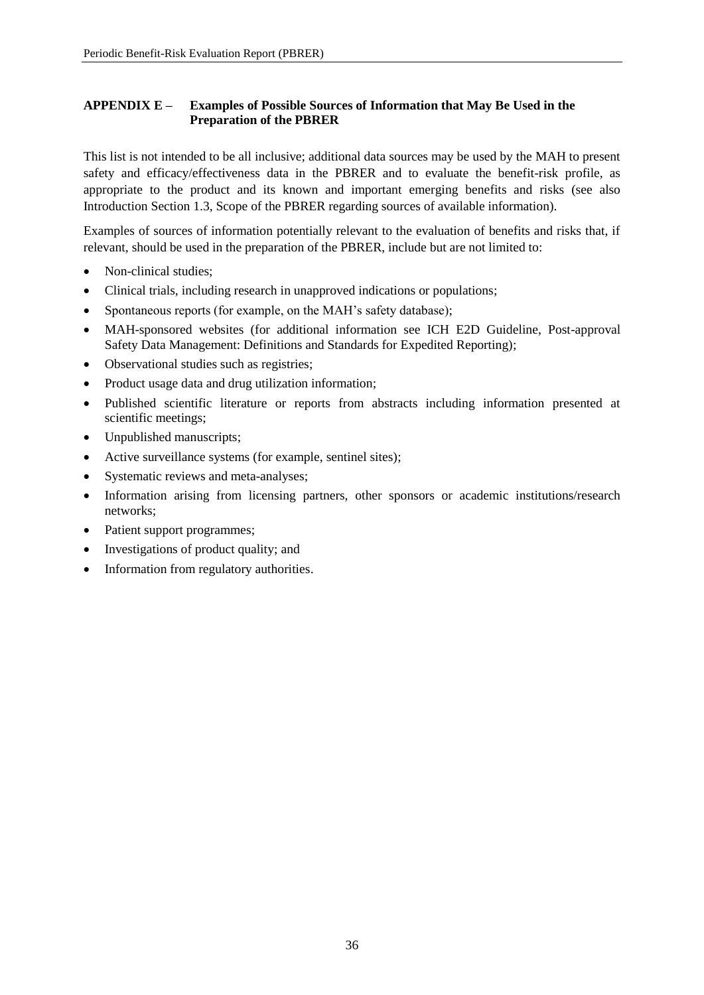# <span id="page-39-0"></span>**APPENDIX E – Examples of Possible Sources of Information that May Be Used in the Preparation of the PBRER**

This list is not intended to be all inclusive; additional data sources may be used by the MAH to present safety and efficacy/effectiveness data in the PBRER and to evaluate the benefit-risk profile, as appropriate to the product and its known and important emerging benefits and risks (see also Introduction Section 1.3, Scope of the PBRER regarding sources of available information).

Examples of sources of information potentially relevant to the evaluation of benefits and risks that, if relevant, should be used in the preparation of the PBRER, include but are not limited to:

- Non-clinical studies:
- Clinical trials, including research in unapproved indications or populations;
- Spontaneous reports (for example, on the MAH's safety database);
- MAH-sponsored websites (for additional information see ICH E2D Guideline, Post-approval Safety Data Management: Definitions and Standards for Expedited Reporting);
- Observational studies such as registries;
- Product usage data and drug utilization information;
- Published scientific literature or reports from abstracts including information presented at scientific meetings;
- Unpublished manuscripts;
- Active surveillance systems (for example, sentinel sites);
- Systematic reviews and meta-analyses;
- Information arising from licensing partners, other sponsors or academic institutions/research networks;
- Patient support programmes;
- Investigations of product quality; and
- Information from regulatory authorities.